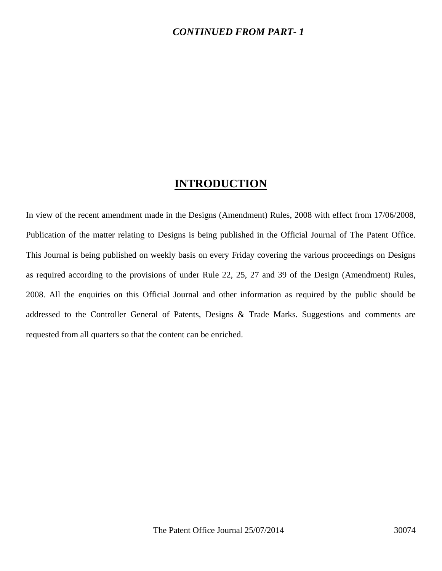### *CONTINUED FROM PART- 1*

## **INTRODUCTION**

In view of the recent amendment made in the Designs (Amendment) Rules, 2008 with effect from 17/06/2008, Publication of the matter relating to Designs is being published in the Official Journal of The Patent Office. This Journal is being published on weekly basis on every Friday covering the various proceedings on Designs as required according to the provisions of under Rule 22, 25, 27 and 39 of the Design (Amendment) Rules, 2008. All the enquiries on this Official Journal and other information as required by the public should be addressed to the Controller General of Patents, Designs & Trade Marks. Suggestions and comments are requested from all quarters so that the content can be enriched.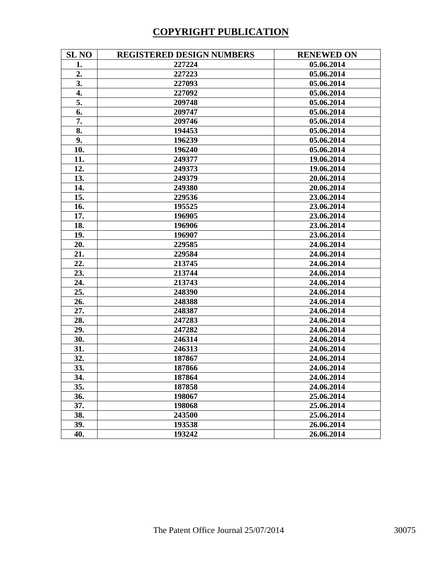# **COPYRIGHT PUBLICATION**

| <b>SL NO</b> | <b>REGISTERED DESIGN NUMBERS</b> | <b>RENEWED ON</b> |
|--------------|----------------------------------|-------------------|
| 1.           | 227224                           | 05.06.2014        |
| 2.           | 227223                           | 05.06.2014        |
| 3.           | 227093                           | 05.06.2014        |
| 4.           | 227092                           | 05.06.2014        |
| 5.           | 209748                           | 05.06.2014        |
| 6.           | 209747                           | 05.06.2014        |
| 7.           | 209746                           | 05.06.2014        |
| 8.           | 194453                           | 05.06.2014        |
| 9.           | 196239                           | 05.06.2014        |
| 10.          | 196240                           | 05.06.2014        |
| 11.          | 249377                           | 19.06.2014        |
| 12.          | 249373                           | 19.06.2014        |
| 13.          | 249379                           | 20.06.2014        |
| 14.          | 249380                           | 20.06.2014        |
| 15.          | 229536                           | 23.06.2014        |
| 16.          | 195525                           | 23.06.2014        |
| 17.          | 196905                           | 23.06.2014        |
| 18.          | 196906                           | 23.06.2014        |
| 19.          | 196907                           | 23.06.2014        |
| 20.          | 229585                           | 24.06.2014        |
| 21.          | 229584                           | 24.06.2014        |
| 22.          | 213745                           | 24.06.2014        |
| 23.          | 213744                           | 24.06.2014        |
| 24.          | 213743                           | 24.06.2014        |
| 25.          | 248390                           | 24.06.2014        |
| 26.          | 248388                           | 24.06.2014        |
| 27.          | 248387                           | 24.06.2014        |
| 28.          | 247283                           | 24.06.2014        |
| 29.          | 247282                           | 24.06.2014        |
| 30.          | 246314                           | 24.06.2014        |
| 31.          | 246313                           | 24.06.2014        |
| 32.          | 187867                           | 24.06.2014        |
| 33.          | 187866                           | 24.06.2014        |
| 34.          | 187864                           | 24.06.2014        |
| 35.          | 187858                           | 24.06.2014        |
| 36.          | 198067                           | 25.06.2014        |
| 37.          | 198068                           | 25.06.2014        |
| 38.          | 243500                           | 25.06.2014        |
| 39.          | 193538                           | 26.06.2014        |
| 40.          | 193242                           | 26.06.2014        |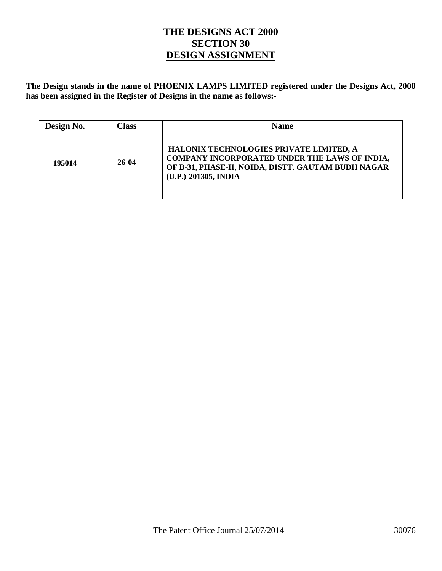## **THE DESIGNS ACT 2000 SECTION 30 DESIGN ASSIGNMENT**

**The Design stands in the name of PHOENIX LAMPS LIMITED registered under the Designs Act, 2000 has been assigned in the Register of Designs in the name as follows:-** 

| Design No. | Class | <b>Name</b>                                                                                                                                                            |
|------------|-------|------------------------------------------------------------------------------------------------------------------------------------------------------------------------|
| 195014     | 26-04 | HALONIX TECHNOLOGIES PRIVATE LIMITED, A<br>COMPANY INCORPORATED UNDER THE LAWS OF INDIA,<br>OF B-31, PHASE-II, NOIDA, DISTT. GAUTAM BUDH NAGAR<br>(U.P.)-201305, INDIA |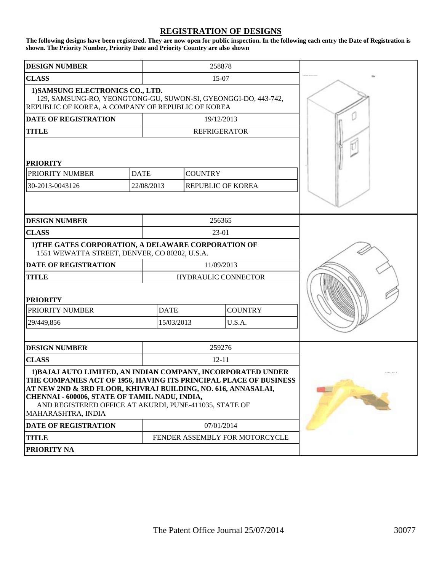#### **REGISTRATION OF DESIGNS**

**The following designs have been registered. They are now open for public inspection. In the following each entry the Date of Registration is shown. The Priority Number, Priority Date and Priority Country are also shown**

|                                                                                                                                                                                                                                                                                                                                     |             |                               | 258878                         |  |
|-------------------------------------------------------------------------------------------------------------------------------------------------------------------------------------------------------------------------------------------------------------------------------------------------------------------------------------|-------------|-------------------------------|--------------------------------|--|
| <b>DESIGN NUMBER</b>                                                                                                                                                                                                                                                                                                                |             |                               |                                |  |
| <b>CLASS</b>                                                                                                                                                                                                                                                                                                                        |             |                               | 15-07                          |  |
| 1) SAMSUNG ELECTRONICS CO., LTD.<br>129, SAMSUNG-RO, YEONGTONG-GU, SUWON-SI, GYEONGGI-DO, 443-742,<br>REPUBLIC OF KOREA, A COMPANY OF REPUBLIC OF KOREA                                                                                                                                                                             |             |                               |                                |  |
| <b>DATE OF REGISTRATION</b>                                                                                                                                                                                                                                                                                                         |             |                               | 19/12/2013                     |  |
| <b>TITLE</b>                                                                                                                                                                                                                                                                                                                        |             |                               | <b>REFRIGERATOR</b>            |  |
| <b>PRIORITY</b>                                                                                                                                                                                                                                                                                                                     |             |                               |                                |  |
| PRIORITY NUMBER                                                                                                                                                                                                                                                                                                                     | <b>DATE</b> | <b>COUNTRY</b>                |                                |  |
| 30-2013-0043126                                                                                                                                                                                                                                                                                                                     | 22/08/2013  |                               | REPUBLIC OF KOREA              |  |
|                                                                                                                                                                                                                                                                                                                                     |             |                               |                                |  |
| <b>DESIGN NUMBER</b>                                                                                                                                                                                                                                                                                                                |             |                               | 256365                         |  |
| <b>CLASS</b>                                                                                                                                                                                                                                                                                                                        |             |                               | 23-01                          |  |
| 1) THE GATES CORPORATION, A DELAWARE CORPORATION OF<br>1551 WEWATTA STREET, DENVER, CO 80202, U.S.A.                                                                                                                                                                                                                                |             |                               |                                |  |
| <b>DATE OF REGISTRATION</b>                                                                                                                                                                                                                                                                                                         |             |                               | 11/09/2013                     |  |
| <b>TITLE</b>                                                                                                                                                                                                                                                                                                                        |             |                               | <b>HYDRAULIC CONNECTOR</b>     |  |
| <b>PRIORITY</b>                                                                                                                                                                                                                                                                                                                     |             |                               |                                |  |
| PRIORITY NUMBER                                                                                                                                                                                                                                                                                                                     |             | <b>DATE</b><br><b>COUNTRY</b> |                                |  |
| 29/449,856                                                                                                                                                                                                                                                                                                                          |             | 15/03/2013<br>U.S.A.          |                                |  |
|                                                                                                                                                                                                                                                                                                                                     |             |                               |                                |  |
| <b>DESIGN NUMBER</b>                                                                                                                                                                                                                                                                                                                |             |                               | 259276                         |  |
| <b>CLASS</b>                                                                                                                                                                                                                                                                                                                        |             |                               |                                |  |
| 1) BAJAJ AUTO LIMITED, AN INDIAN COMPANY, INCORPORATED UNDER<br>THE COMPANIES ACT OF 1956, HAVING ITS PRINCIPAL PLACE OF BUSINESS<br>AT NEW 2ND & 3RD FLOOR, KHIVRAJ BUILDING, NO. 616, ANNASALAI,<br>CHENNAI - 600006, STATE OF TAMIL NADU, INDIA,<br>AND REGISTERED OFFICE AT AKURDI, PUNE-411035, STATE OF<br>MAHARASHTRA, INDIA |             |                               |                                |  |
| <b>DATE OF REGISTRATION</b>                                                                                                                                                                                                                                                                                                         |             |                               | 07/01/2014                     |  |
| <b>TITLE</b>                                                                                                                                                                                                                                                                                                                        |             |                               | FENDER ASSEMBLY FOR MOTORCYCLE |  |
| PRIORITY NA                                                                                                                                                                                                                                                                                                                         |             |                               |                                |  |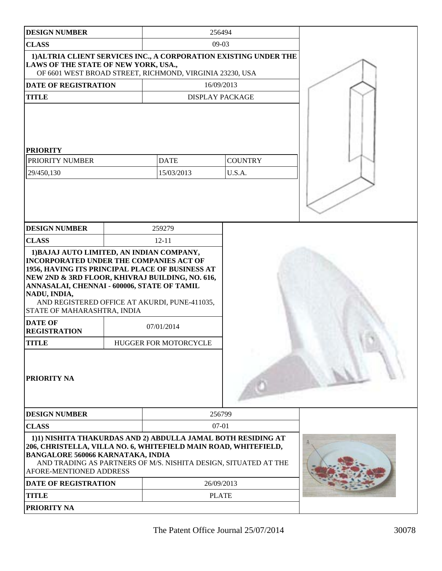| <b>DESIGN NUMBER</b>                                                                                                                                                                                                                                                                                                                     |  | 256494                                                                                                                          |                          |  |
|------------------------------------------------------------------------------------------------------------------------------------------------------------------------------------------------------------------------------------------------------------------------------------------------------------------------------------------|--|---------------------------------------------------------------------------------------------------------------------------------|--------------------------|--|
| <b>CLASS</b>                                                                                                                                                                                                                                                                                                                             |  | $09-03$                                                                                                                         |                          |  |
| LAWS OF THE STATE OF NEW YORK, USA.,                                                                                                                                                                                                                                                                                                     |  | 1) ALTRIA CLIENT SERVICES INC., A CORPORATION EXISTING UNDER THE<br>OF 6601 WEST BROAD STREET, RICHMOND, VIRGINIA 23230, USA    |                          |  |
| <b>DATE OF REGISTRATION</b>                                                                                                                                                                                                                                                                                                              |  | 16/09/2013                                                                                                                      |                          |  |
| <b>TITLE</b>                                                                                                                                                                                                                                                                                                                             |  | <b>DISPLAY PACKAGE</b>                                                                                                          |                          |  |
| <b>PRIORITY</b><br>PRIORITY NUMBER<br>29/450,130                                                                                                                                                                                                                                                                                         |  | <b>DATE</b><br>15/03/2013                                                                                                       | <b>COUNTRY</b><br>U.S.A. |  |
| <b>DESIGN NUMBER</b>                                                                                                                                                                                                                                                                                                                     |  | 259279                                                                                                                          |                          |  |
| <b>CLASS</b>                                                                                                                                                                                                                                                                                                                             |  | $12 - 11$                                                                                                                       |                          |  |
| 1) BAJAJ AUTO LIMITED, AN INDIAN COMPANY,<br><b>INCORPORATED UNDER THE COMPANIES ACT OF</b><br>1956, HAVING ITS PRINCIPAL PLACE OF BUSINESS AT<br>NEW 2ND & 3RD FLOOR, KHIVRAJ BUILDING, NO. 616,<br>ANNASALAI, CHENNAI - 600006, STATE OF TAMIL<br>NADU, INDIA,<br>STATE OF MAHARASHTRA, INDIA<br><b>DATE OF</b><br><b>REGISTRATION</b> |  | AND REGISTERED OFFICE AT AKURDI, PUNE-411035,<br>07/01/2014                                                                     |                          |  |
| <b>TITLE</b>                                                                                                                                                                                                                                                                                                                             |  | HUGGER FOR MOTORCYCLE                                                                                                           |                          |  |
| PRIORITY NA                                                                                                                                                                                                                                                                                                                              |  |                                                                                                                                 |                          |  |
| <b>DESIGN NUMBER</b>                                                                                                                                                                                                                                                                                                                     |  | 256799                                                                                                                          |                          |  |
| <b>CLASS</b><br>$07-01$                                                                                                                                                                                                                                                                                                                  |  |                                                                                                                                 |                          |  |
| 206, CHRISTELLA, VILLA NO. 6, WHITEFIELD MAIN ROAD, WHITEFIELD,<br><b>BANGALORE 560066 KARNATAKA, INDIA</b><br>AFORE-MENTIONED ADDRESS                                                                                                                                                                                                   |  | 1)1) NISHITA THAKURDAS AND 2) ABDULLA JAMAL BOTH RESIDING AT<br>AND TRADING AS PARTNERS OF M/S. NISHITA DESIGN, SITUATED AT THE |                          |  |
| <b>DATE OF REGISTRATION</b>                                                                                                                                                                                                                                                                                                              |  | 26/09/2013                                                                                                                      |                          |  |
| <b>TITLE</b>                                                                                                                                                                                                                                                                                                                             |  | <b>PLATE</b>                                                                                                                    |                          |  |
| PRIORITY NA                                                                                                                                                                                                                                                                                                                              |  |                                                                                                                                 |                          |  |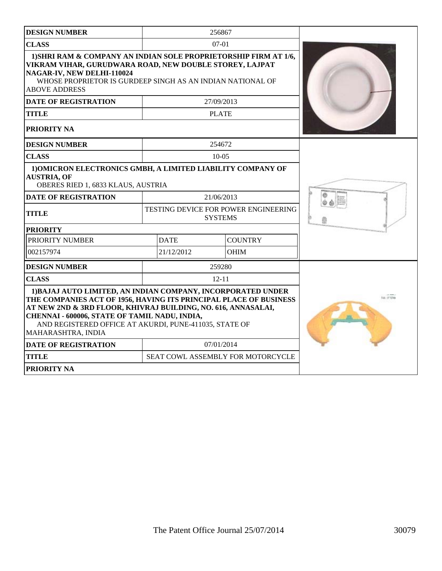| <b>DESIGN NUMBER</b>                                                                                                                                                                                                                                                                                                                                               |                                             | 256867                                          |  |  |  |  |  |
|--------------------------------------------------------------------------------------------------------------------------------------------------------------------------------------------------------------------------------------------------------------------------------------------------------------------------------------------------------------------|---------------------------------------------|-------------------------------------------------|--|--|--|--|--|
| <b>CLASS</b>                                                                                                                                                                                                                                                                                                                                                       |                                             | $07-01$                                         |  |  |  |  |  |
| 1) SHRI RAM & COMPANY AN INDIAN SOLE PROPRIETORSHIP FIRM AT 1/6,<br>VIKRAM VIHAR, GURUDWARA ROAD, NEW DOUBLE STOREY, LAJPAT<br>NAGAR-IV, NEW DELHI-110024<br>WHOSE PROPRIETOR IS GURDEEP SINGH AS AN INDIAN NATIONAL OF<br><b>ABOVE ADDRESS</b><br><b>DATE OF REGISTRATION</b><br><b>TITLE</b><br>PRIORITY NA                                                      |                                             |                                                 |  |  |  |  |  |
| <b>DESIGN NUMBER</b>                                                                                                                                                                                                                                                                                                                                               |                                             | 254672                                          |  |  |  |  |  |
| <b>CLASS</b>                                                                                                                                                                                                                                                                                                                                                       |                                             | $10-0.5$                                        |  |  |  |  |  |
| 1) OMICRON ELECTRONICS GMBH, A LIMITED LIABILITY COMPANY OF<br><b>AUSTRIA, OF</b><br>OBERES RIED 1, 6833 KLAUS, AUSTRIA<br><b>DATE OF REGISTRATION</b><br><b>TITLE</b><br><b>PRIORITY</b><br>PRIORITY NUMBER<br>002157974                                                                                                                                          | <b>TESTING DEVICE FOR POWER ENGINEERING</b> |                                                 |  |  |  |  |  |
| <b>DESIGN NUMBER</b>                                                                                                                                                                                                                                                                                                                                               |                                             | 259280                                          |  |  |  |  |  |
| <b>CLASS</b>                                                                                                                                                                                                                                                                                                                                                       |                                             | $12 - 11$                                       |  |  |  |  |  |
| 1) BAJAJ AUTO LIMITED, AN INDIAN COMPANY, INCORPORATED UNDER<br>THE COMPANIES ACT OF 1956, HAVING ITS PRINCIPAL PLACE OF BUSINESS<br>AT NEW 2ND & 3RD FLOOR, KHIVRAJ BUILDING, NO. 616, ANNASALAI,<br>CHENNAI - 600006, STATE OF TAMIL NADU, INDIA,<br>AND REGISTERED OFFICE AT AKURDI, PUNE-411035, STATE OF<br>MAHARASHTRA, INDIA<br><b>DATE OF REGISTRATION</b> |                                             |                                                 |  |  |  |  |  |
| <b>TITLE</b>                                                                                                                                                                                                                                                                                                                                                       |                                             | 07/01/2014<br>SEAT COWL ASSEMBLY FOR MOTORCYCLE |  |  |  |  |  |
| <b>PRIORITY NA</b>                                                                                                                                                                                                                                                                                                                                                 |                                             |                                                 |  |  |  |  |  |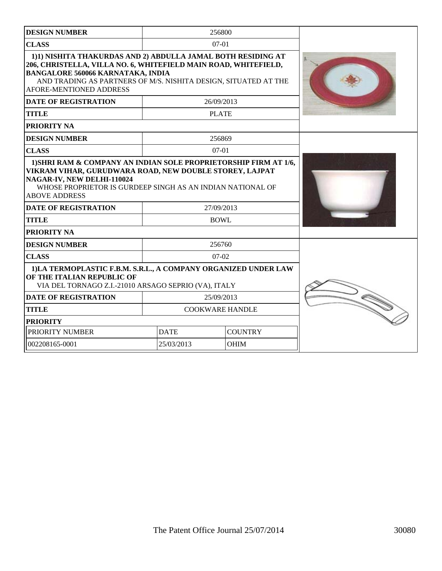| 256800<br><b>DESIGN NUMBER</b>                                                                                                                                                                                                                                            |             |                        |  |
|---------------------------------------------------------------------------------------------------------------------------------------------------------------------------------------------------------------------------------------------------------------------------|-------------|------------------------|--|
| <b>CLASS</b>                                                                                                                                                                                                                                                              |             |                        |  |
| 1)1) NISHITA THAKURDAS AND 2) ABDULLA JAMAL BOTH RESIDING AT<br>206, CHRISTELLA, VILLA NO. 6, WHITEFIELD MAIN ROAD, WHITEFIELD,<br><b>BANGALORE 560066 KARNATAKA, INDIA</b><br>AND TRADING AS PARTNERS OF M/S. NISHITA DESIGN, SITUATED AT THE<br>AFORE-MENTIONED ADDRESS |             |                        |  |
| <b>DATE OF REGISTRATION</b>                                                                                                                                                                                                                                               |             | 26/09/2013             |  |
| <b>TITLE</b>                                                                                                                                                                                                                                                              |             | <b>PLATE</b>           |  |
| <b>PRIORITY NA</b>                                                                                                                                                                                                                                                        |             |                        |  |
| <b>DESIGN NUMBER</b>                                                                                                                                                                                                                                                      |             | 256869                 |  |
| <b>CLASS</b>                                                                                                                                                                                                                                                              |             | $07-01$                |  |
| VIKRAM VIHAR, GURUDWARA ROAD, NEW DOUBLE STOREY, LAJPAT<br>NAGAR-IV, NEW DELHI-110024<br>WHOSE PROPRIETOR IS GURDEEP SINGH AS AN INDIAN NATIONAL OF<br><b>ABOVE ADDRESS</b><br><b>DATE OF REGISTRATION</b><br><b>TITLE</b>                                                |             |                        |  |
| <b>PRIORITY NA</b>                                                                                                                                                                                                                                                        |             | <b>BOWL</b>            |  |
| <b>DESIGN NUMBER</b>                                                                                                                                                                                                                                                      |             | 256760                 |  |
| <b>CLASS</b>                                                                                                                                                                                                                                                              |             | $07-02$                |  |
| 1)LA TERMOPLASTIC F.B.M. S.R.L., A COMPANY ORGANIZED UNDER LAW<br>OF THE ITALIAN REPUBLIC OF<br>VIA DEL TORNAGO Z.I.-21010 ARSAGO SEPRIO (VA), ITALY                                                                                                                      |             |                        |  |
| <b>DATE OF REGISTRATION</b>                                                                                                                                                                                                                                               |             |                        |  |
| <b>TITLE</b>                                                                                                                                                                                                                                                              |             | <b>COOKWARE HANDLE</b> |  |
| <b>PRIORITY</b>                                                                                                                                                                                                                                                           |             |                        |  |
| PRIORITY NUMBER                                                                                                                                                                                                                                                           | <b>DATE</b> | <b>COUNTRY</b>         |  |
| 002208165-0001                                                                                                                                                                                                                                                            | 25/03/2013  | <b>OHIM</b>            |  |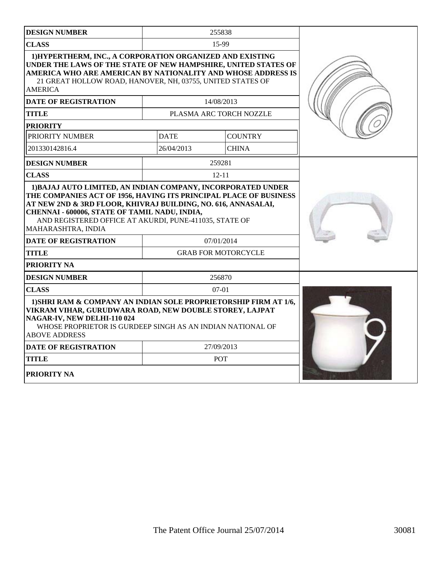| <b>DESIGN NUMBER</b>                                                                                                                                                                                                                                                                               |             | 255838                     |  |
|----------------------------------------------------------------------------------------------------------------------------------------------------------------------------------------------------------------------------------------------------------------------------------------------------|-------------|----------------------------|--|
| <b>CLASS</b>                                                                                                                                                                                                                                                                                       |             |                            |  |
| 1) HYPERTHERM, INC., A CORPORATION ORGANIZED AND EXISTING<br>UNDER THE LAWS OF THE STATE OF NEW HAMPSHIRE, UNITED STATES OF<br>AMERICA WHO ARE AMERICAN BY NATIONALITY AND WHOSE ADDRESS IS<br>21 GREAT HOLLOW ROAD, HANOVER, NH, 03755, UNITED STATES OF<br><b>AMERICA</b>                        |             |                            |  |
| <b>DATE OF REGISTRATION</b>                                                                                                                                                                                                                                                                        |             | 14/08/2013                 |  |
| <b>TITLE</b>                                                                                                                                                                                                                                                                                       |             | PLASMA ARC TORCH NOZZLE    |  |
| <b>PRIORITY</b>                                                                                                                                                                                                                                                                                    |             |                            |  |
| PRIORITY NUMBER                                                                                                                                                                                                                                                                                    | <b>DATE</b> | <b>COUNTRY</b>             |  |
| 201330142816.4                                                                                                                                                                                                                                                                                     | 26/04/2013  | <b>CHINA</b>               |  |
| <b>DESIGN NUMBER</b>                                                                                                                                                                                                                                                                               |             | 259281                     |  |
| <b>CLASS</b>                                                                                                                                                                                                                                                                                       |             | $12 - 11$                  |  |
| THE COMPANIES ACT OF 1956, HAVING ITS PRINCIPAL PLACE OF BUSINESS<br>AT NEW 2ND & 3RD FLOOR, KHIVRAJ BUILDING, NO. 616, ANNASALAI,<br>CHENNAI - 600006, STATE OF TAMIL NADU, INDIA,<br>AND REGISTERED OFFICE AT AKURDI, PUNE-411035, STATE OF<br>MAHARASHTRA, INDIA<br><b>DATE OF REGISTRATION</b> | 07/01/2014  |                            |  |
| <b>TITLE</b>                                                                                                                                                                                                                                                                                       |             | <b>GRAB FOR MOTORCYCLE</b> |  |
| PRIORITY NA                                                                                                                                                                                                                                                                                        |             |                            |  |
| <b>DESIGN NUMBER</b>                                                                                                                                                                                                                                                                               |             | 256870                     |  |
| <b>CLASS</b>                                                                                                                                                                                                                                                                                       |             | $07-01$                    |  |
| 1) SHRI RAM & COMPANY AN INDIAN SOLE PROPRIETORSHIP FIRM AT 1/6,<br>VIKRAM VIHAR, GURUDWARA ROAD, NEW DOUBLE STOREY, LAJPAT<br>NAGAR-IV, NEW DELHI-110 024<br>WHOSE PROPRIETOR IS GURDEEP SINGH AS AN INDIAN NATIONAL OF<br><b>ABOVE ADDRESS</b>                                                   |             |                            |  |
| <b>DATE OF REGISTRATION</b>                                                                                                                                                                                                                                                                        |             | 27/09/2013                 |  |
| <b>TITLE</b>                                                                                                                                                                                                                                                                                       |             |                            |  |
| <b>PRIORITY NA</b>                                                                                                                                                                                                                                                                                 |             |                            |  |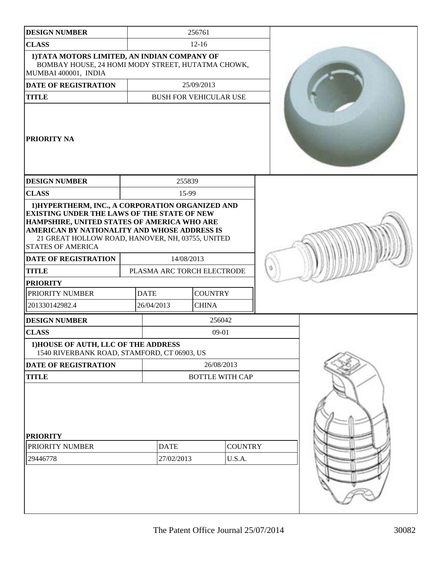| <b>DESIGN NUMBER</b>                                                                                                                                                                                                                                                                  |                               | 256761       |                          |  |
|---------------------------------------------------------------------------------------------------------------------------------------------------------------------------------------------------------------------------------------------------------------------------------------|-------------------------------|--------------|--------------------------|--|
| <b>CLASS</b>                                                                                                                                                                                                                                                                          |                               | $12 - 16$    |                          |  |
| 1) TATA MOTORS LIMITED, AN INDIAN COMPANY OF<br>BOMBAY HOUSE, 24 HOMI MODY STREET, HUTATMA CHOWK,<br>MUMBAI 400001, INDIA                                                                                                                                                             |                               |              |                          |  |
| DATE OF REGISTRATION                                                                                                                                                                                                                                                                  |                               | 25/09/2013   |                          |  |
| <b>TITLE</b>                                                                                                                                                                                                                                                                          | <b>BUSH FOR VEHICULAR USE</b> |              |                          |  |
| <b>PRIORITY NA</b>                                                                                                                                                                                                                                                                    |                               |              |                          |  |
| <b>DESIGN NUMBER</b>                                                                                                                                                                                                                                                                  | 255839                        |              |                          |  |
| <b>CLASS</b>                                                                                                                                                                                                                                                                          | 15-99                         |              |                          |  |
| 1) HYPERTHERM, INC., A CORPORATION ORGANIZED AND<br><b>EXISTING UNDER THE LAWS OF THE STATE OF NEW</b><br>HAMPSHIRE, UNITED STATES OF AMERICA WHO ARE<br>AMERICAN BY NATIONALITY AND WHOSE ADDRESS IS<br>21 GREAT HOLLOW ROAD, HANOVER, NH, 03755, UNITED<br><b>STATES OF AMERICA</b> |                               |              |                          |  |
| <b>DATE OF REGISTRATION</b>                                                                                                                                                                                                                                                           | 14/08/2013                    |              |                          |  |
| <b>TITLE</b>                                                                                                                                                                                                                                                                          | PLASMA ARC TORCH ELECTRODE    |              |                          |  |
| <b>PRIORITY</b>                                                                                                                                                                                                                                                                       |                               |              |                          |  |
| PRIORITY NUMBER                                                                                                                                                                                                                                                                       | <b>DATE</b><br><b>COUNTRY</b> |              |                          |  |
| 201330142982.4                                                                                                                                                                                                                                                                        | 26/04/2013                    | <b>CHINA</b> |                          |  |
| <b>DESIGN NUMBER</b>                                                                                                                                                                                                                                                                  |                               |              | 256042                   |  |
| <b>CLASS</b>                                                                                                                                                                                                                                                                          |                               | $09-01$      |                          |  |
| 1) HOUSE OF AUTH, LLC OF THE ADDRESS<br>1540 RIVERBANK ROAD, STAMFORD, CT 06903, US                                                                                                                                                                                                   |                               |              |                          |  |
| <b>DATE OF REGISTRATION</b>                                                                                                                                                                                                                                                           |                               |              | 26/08/2013               |  |
| <b>TITLE</b>                                                                                                                                                                                                                                                                          |                               |              | <b>BOTTLE WITH CAP</b>   |  |
| <b>PRIORITY</b><br>PRIORITY NUMBER<br>29446778                                                                                                                                                                                                                                        | <b>DATE</b><br>27/02/2013     |              | <b>COUNTRY</b><br>U.S.A. |  |
|                                                                                                                                                                                                                                                                                       |                               |              |                          |  |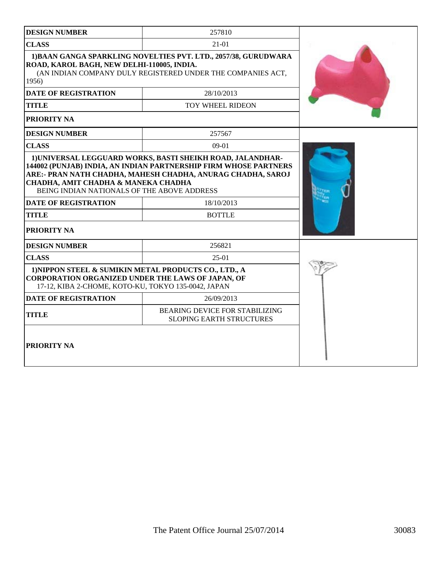| <b>DESIGN NUMBER</b>                                                                                                                                                                                                                                                                       | 257810                                                                                                                         |  |
|--------------------------------------------------------------------------------------------------------------------------------------------------------------------------------------------------------------------------------------------------------------------------------------------|--------------------------------------------------------------------------------------------------------------------------------|--|
| <b>CLASS</b>                                                                                                                                                                                                                                                                               |                                                                                                                                |  |
| ROAD, KAROL BAGH, NEW DELHI-110005, INDIA.<br>1956)                                                                                                                                                                                                                                        | 1) BAAN GANGA SPARKLING NOVELTIES PVT. LTD., 2057/38, GURUDWARA<br>(AN INDIAN COMPANY DULY REGISTERED UNDER THE COMPANIES ACT, |  |
| <b>DATE OF REGISTRATION</b>                                                                                                                                                                                                                                                                | 28/10/2013                                                                                                                     |  |
| <b>TITLE</b>                                                                                                                                                                                                                                                                               | TOY WHEEL RIDEON                                                                                                               |  |
| <b>PRIORITY NA</b>                                                                                                                                                                                                                                                                         |                                                                                                                                |  |
| <b>DESIGN NUMBER</b>                                                                                                                                                                                                                                                                       | 257567                                                                                                                         |  |
| <b>CLASS</b>                                                                                                                                                                                                                                                                               | $09-01$                                                                                                                        |  |
| 144002 (PUNJAB) INDIA, AN INDIAN PARTNERSHIP FIRM WHOSE PARTNERS<br>ARE:- PRAN NATH CHADHA, MAHESH CHADHA, ANURAG CHADHA, SAROJ<br>CHADHA, AMIT CHADHA & MANEKA CHADHA<br>BEING INDIAN NATIONALS OF THE ABOVE ADDRESS<br><b>DATE OF REGISTRATION</b><br><b>TITLE</b><br><b>PRIORITY NA</b> |                                                                                                                                |  |
| <b>DESIGN NUMBER</b>                                                                                                                                                                                                                                                                       | 256821                                                                                                                         |  |
| <b>CLASS</b>                                                                                                                                                                                                                                                                               | $25-01$                                                                                                                        |  |
| 1) NIPPON STEEL & SUMIKIN METAL PRODUCTS CO., LTD., A<br>CORPORATION ORGANIZED UNDER THE LAWS OF JAPAN, OF<br>17-12, KIBA 2-CHOME, KOTO-KU, TOKYO 135-0042, JAPAN                                                                                                                          |                                                                                                                                |  |
| <b>DATE OF REGISTRATION</b>                                                                                                                                                                                                                                                                | 26/09/2013                                                                                                                     |  |
| <b>TITLE</b>                                                                                                                                                                                                                                                                               | <b>BEARING DEVICE FOR STABILIZING</b><br><b>SLOPING EARTH STRUCTURES</b>                                                       |  |
| PRIORITY NA                                                                                                                                                                                                                                                                                |                                                                                                                                |  |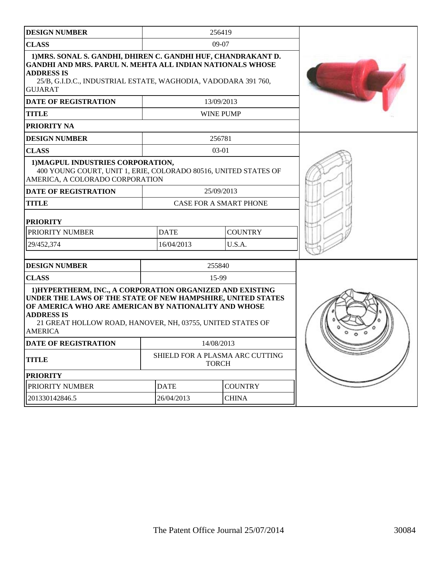| <b>DESIGN NUMBER</b>                                                                                                                                                                                                                                                                  |                                                 | 256419           |                               |  |
|---------------------------------------------------------------------------------------------------------------------------------------------------------------------------------------------------------------------------------------------------------------------------------------|-------------------------------------------------|------------------|-------------------------------|--|
| <b>CLASS</b>                                                                                                                                                                                                                                                                          |                                                 |                  |                               |  |
| 1) MRS. SONAL S. GANDHI, DHIREN C. GANDHI HUF, CHANDRAKANT D.<br><b>GANDHI AND MRS. PARUL N. MEHTA ALL INDIAN NATIONALS WHOSE</b><br><b>ADDRESS IS</b><br>25/B, G.I.D.C., INDUSTRIAL ESTATE, WAGHODIA, VADODARA 391 760,<br><b>GUJARAT</b>                                            |                                                 |                  |                               |  |
| <b>DATE OF REGISTRATION</b>                                                                                                                                                                                                                                                           |                                                 | 13/09/2013       |                               |  |
| <b>TITLE</b>                                                                                                                                                                                                                                                                          |                                                 | <b>WINE PUMP</b> |                               |  |
| <b>PRIORITY NA</b>                                                                                                                                                                                                                                                                    |                                                 |                  |                               |  |
| <b>DESIGN NUMBER</b>                                                                                                                                                                                                                                                                  |                                                 | 256781           |                               |  |
| <b>CLASS</b>                                                                                                                                                                                                                                                                          |                                                 | 03-01            |                               |  |
| 1) MAGPUL INDUSTRIES CORPORATION,<br>400 YOUNG COURT, UNIT 1, ERIE, COLORADO 80516, UNITED STATES OF<br>AMERICA, A COLORADO CORPORATION                                                                                                                                               |                                                 |                  |                               |  |
| <b>DATE OF REGISTRATION</b>                                                                                                                                                                                                                                                           |                                                 | 25/09/2013       |                               |  |
| <b>TITLE</b>                                                                                                                                                                                                                                                                          |                                                 |                  | <b>CASE FOR A SMART PHONE</b> |  |
| <b>PRIORITY</b>                                                                                                                                                                                                                                                                       |                                                 |                  |                               |  |
| PRIORITY NUMBER                                                                                                                                                                                                                                                                       | <b>DATE</b>                                     |                  | <b>COUNTRY</b>                |  |
| 29/452,374                                                                                                                                                                                                                                                                            | 16/04/2013                                      |                  | U.S.A.                        |  |
| <b>DESIGN NUMBER</b>                                                                                                                                                                                                                                                                  |                                                 | 255840           |                               |  |
| <b>CLASS</b>                                                                                                                                                                                                                                                                          |                                                 | 15-99            |                               |  |
| 1) HYPERTHERM, INC., A CORPORATION ORGANIZED AND EXISTING<br>UNDER THE LAWS OF THE STATE OF NEW HAMPSHIRE, UNITED STATES<br>OF AMERICA WHO ARE AMERICAN BY NATIONALITY AND WHOSE<br><b>ADDRESS IS</b><br>21 GREAT HOLLOW ROAD, HANOVER, NH, 03755, UNITED STATES OF<br><b>AMERICA</b> |                                                 |                  |                               |  |
| <b>DATE OF REGISTRATION</b>                                                                                                                                                                                                                                                           | 14/08/2013                                      |                  |                               |  |
| <b>TITLE</b>                                                                                                                                                                                                                                                                          | SHIELD FOR A PLASMA ARC CUTTING<br><b>TORCH</b> |                  |                               |  |
| <b>PRIORITY</b>                                                                                                                                                                                                                                                                       |                                                 |                  |                               |  |
| PRIORITY NUMBER                                                                                                                                                                                                                                                                       | <b>DATE</b>                                     |                  | <b>COUNTRY</b>                |  |
| 201330142846.5                                                                                                                                                                                                                                                                        | 26/04/2013                                      |                  |                               |  |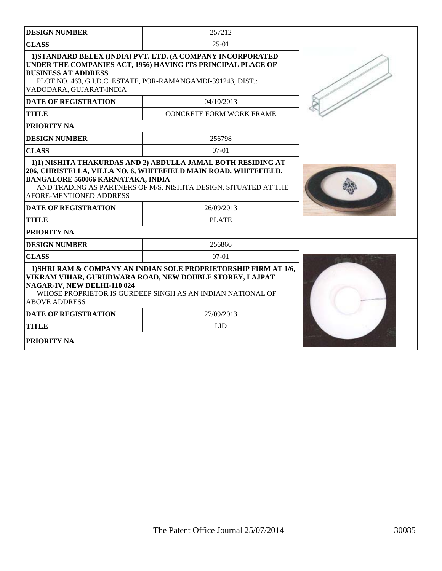| <b>DESIGN NUMBER</b>                                                                                                                     | 257212                                                                                                                                                                                      |  |
|------------------------------------------------------------------------------------------------------------------------------------------|---------------------------------------------------------------------------------------------------------------------------------------------------------------------------------------------|--|
| <b>CLASS</b>                                                                                                                             |                                                                                                                                                                                             |  |
| <b>BUSINESS AT ADDRESS</b><br>VADODARA, GUJARAT-INDIA                                                                                    | 1) STANDARD BELEX (INDIA) PVT. LTD. (A COMPANY INCORPORATED<br>UNDER THE COMPANIES ACT, 1956) HAVING ITS PRINCIPAL PLACE OF<br>PLOT NO. 463, G.I.D.C. ESTATE, POR-RAMANGAMDI-391243, DIST.: |  |
| <b>DATE OF REGISTRATION</b>                                                                                                              | 04/10/2013                                                                                                                                                                                  |  |
| <b>TITLE</b>                                                                                                                             | <b>CONCRETE FORM WORK FRAME</b>                                                                                                                                                             |  |
| <b>PRIORITY NA</b>                                                                                                                       |                                                                                                                                                                                             |  |
| <b>DESIGN NUMBER</b>                                                                                                                     | 256798                                                                                                                                                                                      |  |
| <b>CLASS</b>                                                                                                                             | $07-01$                                                                                                                                                                                     |  |
| <b>BANGALORE 560066 KARNATAKA, INDIA</b><br>AFORE-MENTIONED ADDRESS<br><b>DATE OF REGISTRATION</b><br><b>TITLE</b><br><b>PRIORITY NA</b> | 206, CHRISTELLA, VILLA NO. 6, WHITEFIELD MAIN ROAD, WHITEFIELD,<br>AND TRADING AS PARTNERS OF M/S. NISHITA DESIGN, SITUATED AT THE<br>26/09/2013<br><b>PLATE</b>                            |  |
| <b>DESIGN NUMBER</b>                                                                                                                     | 256866                                                                                                                                                                                      |  |
| <b>CLASS</b>                                                                                                                             | $07-01$                                                                                                                                                                                     |  |
| NAGAR-IV, NEW DELHI-110 024<br><b>ABOVE ADDRESS</b>                                                                                      | 1) SHRI RAM & COMPANY AN INDIAN SOLE PROPRIETORSHIP FIRM AT 1/6,<br>VIKRAM VIHAR, GURUDWARA ROAD, NEW DOUBLE STOREY, LAJPAT<br>WHOSE PROPRIETOR IS GURDEEP SINGH AS AN INDIAN NATIONAL OF   |  |
| <b>DATE OF REGISTRATION</b>                                                                                                              | 27/09/2013                                                                                                                                                                                  |  |
| <b>TITLE</b>                                                                                                                             | LID                                                                                                                                                                                         |  |
| <b>PRIORITY NA</b>                                                                                                                       |                                                                                                                                                                                             |  |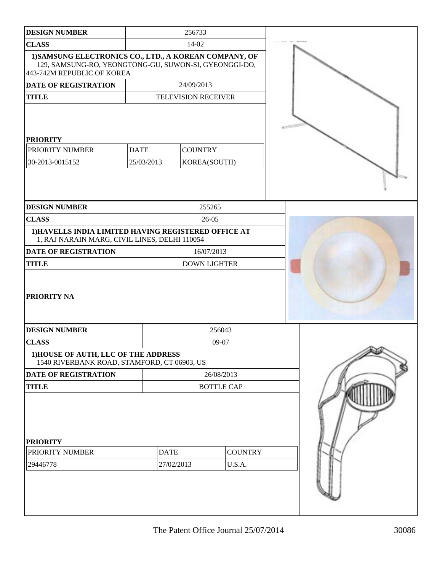| <b>DESIGN NUMBER</b>                                                                                                                          |                           | 256733                         |                          |  |
|-----------------------------------------------------------------------------------------------------------------------------------------------|---------------------------|--------------------------------|--------------------------|--|
| <b>CLASS</b>                                                                                                                                  |                           | $14-02$                        |                          |  |
| 1) SAMSUNG ELECTRONICS CO., LTD., A KOREAN COMPANY, OF<br>129, SAMSUNG-RO, YEONGTONG-GU, SUWON-SI, GYEONGGI-DO,<br>443-742M REPUBLIC OF KOREA |                           |                                |                          |  |
| DATE OF REGISTRATION                                                                                                                          |                           | 24/09/2013                     |                          |  |
| <b>TITLE</b>                                                                                                                                  |                           | <b>TELEVISION RECEIVER</b>     |                          |  |
| <b>PRIORITY</b><br>PRIORITY NUMBER<br>30-2013-0015152                                                                                         | <b>DATE</b><br>25/03/2013 | <b>COUNTRY</b><br>KOREA(SOUTH) |                          |  |
| <b>DESIGN NUMBER</b>                                                                                                                          |                           | 255265                         |                          |  |
| <b>CLASS</b>                                                                                                                                  |                           | 26-05                          |                          |  |
| 1) HAVELLS INDIA LIMITED HAVING REGISTERED OFFICE AT<br>1, RAJ NARAIN MARG, CIVIL LINES, DELHI 110054                                         |                           |                                |                          |  |
| <b>DATE OF REGISTRATION</b>                                                                                                                   |                           | 16/07/2013                     |                          |  |
| <b>TITLE</b>                                                                                                                                  |                           | <b>DOWN LIGHTER</b>            |                          |  |
| PRIORITY NA                                                                                                                                   |                           |                                |                          |  |
| <b>DESIGN NUMBER</b>                                                                                                                          |                           |                                | 256043                   |  |
| <b>CLASS</b>                                                                                                                                  |                           |                                | 09-07                    |  |
| 1) HOUSE OF AUTH, LLC OF THE ADDRESS<br>1540 RIVERBANK ROAD, STAMFORD, CT 06903, US                                                           |                           |                                |                          |  |
| DATE OF REGISTRATION                                                                                                                          |                           |                                | 26/08/2013               |  |
| <b>TITLE</b>                                                                                                                                  |                           |                                | <b>BOTTLE CAP</b>        |  |
| <b>PRIORITY</b><br>PRIORITY NUMBER<br>29446778                                                                                                | <b>DATE</b>               | 27/02/2013                     | <b>COUNTRY</b><br>U.S.A. |  |
|                                                                                                                                               |                           |                                |                          |  |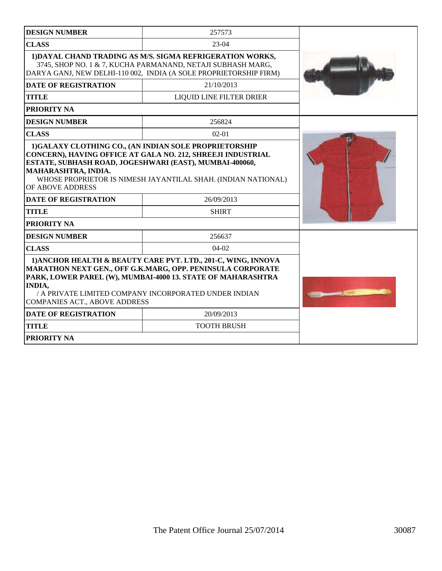| <b>DESIGN NUMBER</b>                                                                               | 257573                                                                                                                                                                                                                                              |  |
|----------------------------------------------------------------------------------------------------|-----------------------------------------------------------------------------------------------------------------------------------------------------------------------------------------------------------------------------------------------------|--|
| <b>CLASS</b>                                                                                       | $23-04$                                                                                                                                                                                                                                             |  |
|                                                                                                    | 1) DAYAL CHAND TRADING AS M/S. SIGMA REFRIGERATION WORKS,<br>3745, SHOP NO. 1 & 7, KUCHA PARMANAND, NETAJI SUBHASH MARG,<br>DARYA GANJ, NEW DELHI-110 002, INDIA (A SOLE PROPRIETORSHIP FIRM)                                                       |  |
| <b>DATE OF REGISTRATION</b>                                                                        | 21/10/2013                                                                                                                                                                                                                                          |  |
| <b>TITLE</b>                                                                                       | <b>LIQUID LINE FILTER DRIER</b>                                                                                                                                                                                                                     |  |
| PRIORITY NA                                                                                        |                                                                                                                                                                                                                                                     |  |
| <b>DESIGN NUMBER</b>                                                                               | 256824                                                                                                                                                                                                                                              |  |
| <b>CLASS</b>                                                                                       | $02 - 01$                                                                                                                                                                                                                                           |  |
| ESTATE, SUBHASH ROAD, JOGESHWARI (EAST), MUMBAI-400060,<br>MAHARASHTRA, INDIA.<br>OF ABOVE ADDRESS | WHOSE PROPRIETOR IS NIMESH JAYANTILAL SHAH. (INDIAN NATIONAL)                                                                                                                                                                                       |  |
| <b>DATE OF REGISTRATION</b>                                                                        | 26/09/2013                                                                                                                                                                                                                                          |  |
| <b>TITLE</b>                                                                                       | <b>SHIRT</b>                                                                                                                                                                                                                                        |  |
| PRIORITY NA                                                                                        |                                                                                                                                                                                                                                                     |  |
| <b>DESIGN NUMBER</b>                                                                               | 256637                                                                                                                                                                                                                                              |  |
| <b>CLASS</b>                                                                                       | $04-02$                                                                                                                                                                                                                                             |  |
| <b>INDIA,</b><br><b>COMPANIES ACT., ABOVE ADDRESS</b>                                              | 1) ANCHOR HEALTH & BEAUTY CARE PVT, LTD., 201-C, WING, INNOVA<br>MARATHON NEXT GEN., OFF G.K.MARG, OPP. PENINSULA CORPORATE<br>PARK, LOWER PAREL (W), MUMBAI-4000 13. STATE OF MAHARASHTRA<br>/ A PRIVATE LIMITED COMPANY INCORPORATED UNDER INDIAN |  |
| <b>DATE OF REGISTRATION</b>                                                                        | 20/09/2013                                                                                                                                                                                                                                          |  |
| <b>TITLE</b>                                                                                       | <b>TOOTH BRUSH</b>                                                                                                                                                                                                                                  |  |
| <b>PRIORITY NA</b>                                                                                 |                                                                                                                                                                                                                                                     |  |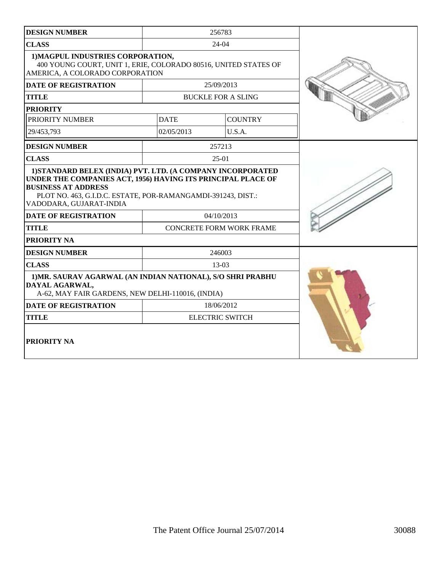| <b>DESIGN NUMBER</b>                                                                                                                                                                  |             | 256783                          |  |
|---------------------------------------------------------------------------------------------------------------------------------------------------------------------------------------|-------------|---------------------------------|--|
| <b>CLASS</b>                                                                                                                                                                          |             | $24-04$                         |  |
| 1) MAGPUL INDUSTRIES CORPORATION,<br>400 YOUNG COURT, UNIT 1, ERIE, COLORADO 80516, UNITED STATES OF<br>AMERICA, A COLORADO CORPORATION                                               |             |                                 |  |
| <b>DATE OF REGISTRATION</b>                                                                                                                                                           |             | 25/09/2013                      |  |
| <b>TITLE</b>                                                                                                                                                                          |             | <b>BUCKLE FOR A SLING</b>       |  |
| <b>PRIORITY</b>                                                                                                                                                                       |             |                                 |  |
| PRIORITY NUMBER                                                                                                                                                                       | <b>DATE</b> | <b>COUNTRY</b>                  |  |
| 29/453,793                                                                                                                                                                            | 02/05/2013  | U.S.A.                          |  |
| <b>DESIGN NUMBER</b>                                                                                                                                                                  |             | 257213                          |  |
| <b>CLASS</b>                                                                                                                                                                          |             | $25-01$                         |  |
| UNDER THE COMPANIES ACT, 1956) HAVING ITS PRINCIPAL PLACE OF<br><b>BUSINESS AT ADDRESS</b><br>PLOT NO. 463, G.I.D.C. ESTATE, POR-RAMANGAMDI-391243, DIST.:<br>VADODARA, GUJARAT-INDIA |             |                                 |  |
| <b>DATE OF REGISTRATION</b>                                                                                                                                                           |             | 04/10/2013                      |  |
| <b>TITLE</b>                                                                                                                                                                          |             | <b>CONCRETE FORM WORK FRAME</b> |  |
| PRIORITY NA                                                                                                                                                                           |             |                                 |  |
| <b>DESIGN NUMBER</b>                                                                                                                                                                  |             | 246003                          |  |
| <b>CLASS</b>                                                                                                                                                                          |             | 13-03                           |  |
| 1) MR. SAURAV AGARWAL (AN INDIAN NATIONAL), S/O SHRI PRABHU<br>DAYAL AGARWAL,<br>A-62, MAY FAIR GARDENS, NEW DELHI-110016, (INDIA)                                                    |             |                                 |  |
| <b>DATE OF REGISTRATION</b>                                                                                                                                                           |             | 18/06/2012                      |  |
| <b>TITLE</b>                                                                                                                                                                          |             | <b>ELECTRIC SWITCH</b>          |  |
| PRIORITY NA                                                                                                                                                                           |             |                                 |  |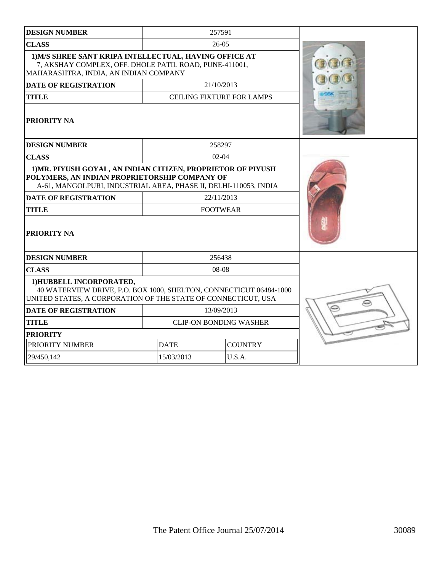| <b>DESIGN NUMBER</b>                                                                                                                                                              |                               | 257591                           |  |
|-----------------------------------------------------------------------------------------------------------------------------------------------------------------------------------|-------------------------------|----------------------------------|--|
| <b>CLASS</b>                                                                                                                                                                      |                               | $26-05$                          |  |
| 1) M/S SHREE SANT KRIPA INTELLECTUAL, HAVING OFFICE AT<br>7, AKSHAY COMPLEX, OFF. DHOLE PATIL ROAD, PUNE-411001,<br>MAHARASHTRA, INDIA, AN INDIAN COMPANY                         |                               |                                  |  |
| <b>DATE OF REGISTRATION</b>                                                                                                                                                       |                               | 21/10/2013                       |  |
| <b>TITLE</b>                                                                                                                                                                      |                               | <b>CEILING FIXTURE FOR LAMPS</b> |  |
| <b>PRIORITY NA</b>                                                                                                                                                                |                               |                                  |  |
| <b>DESIGN NUMBER</b>                                                                                                                                                              |                               | 258297                           |  |
| <b>CLASS</b>                                                                                                                                                                      |                               | $02-04$                          |  |
| 1) MR. PIYUSH GOYAL, AN INDIAN CITIZEN, PROPRIETOR OF PIYUSH<br>POLYMERS, AN INDIAN PROPRIETORSHIP COMPANY OF<br>A-61, MANGOLPURI, INDUSTRIAL AREA, PHASE II, DELHI-110053, INDIA |                               |                                  |  |
| <b>DATE OF REGISTRATION</b>                                                                                                                                                       |                               | 22/11/2013                       |  |
| <b>TITLE</b>                                                                                                                                                                      |                               | <b>FOOTWEAR</b>                  |  |
| PRIORITY NA                                                                                                                                                                       |                               |                                  |  |
| <b>DESIGN NUMBER</b>                                                                                                                                                              |                               | 256438                           |  |
| <b>CLASS</b>                                                                                                                                                                      |                               | 08-08                            |  |
| 1) HUBBELL INCORPORATED,<br>40 WATERVIEW DRIVE, P.O. BOX 1000, SHELTON, CONNECTICUT 06484-1000<br>UNITED STATES, A CORPORATION OF THE STATE OF CONNECTICUT, USA                   |                               |                                  |  |
| <b>DATE OF REGISTRATION</b>                                                                                                                                                       |                               | 13/09/2013                       |  |
| <b>TITLE</b>                                                                                                                                                                      |                               | <b>CLIP-ON BONDING WASHER</b>    |  |
| <b>PRIORITY</b>                                                                                                                                                                   |                               |                                  |  |
| PRIORITY NUMBER                                                                                                                                                                   | <b>COUNTRY</b><br><b>DATE</b> |                                  |  |
| 29/450,142                                                                                                                                                                        | 15/03/2013                    | U.S.A.                           |  |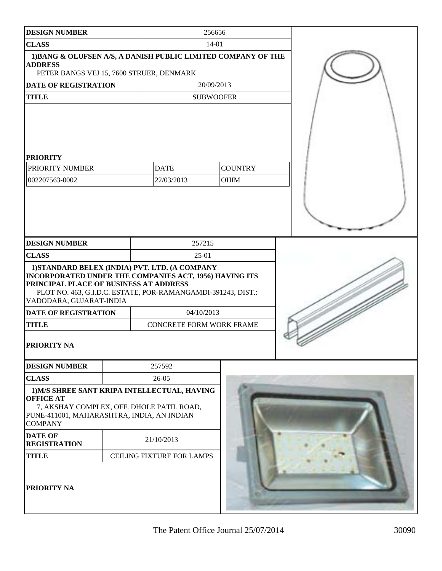| <b>DESIGN NUMBER</b>                                                                                                                                                                                                                          |                                          |                                 | 256656                           |                        |  |  |
|-----------------------------------------------------------------------------------------------------------------------------------------------------------------------------------------------------------------------------------------------|------------------------------------------|---------------------------------|----------------------------------|------------------------|--|--|
| <b>CLASS</b>                                                                                                                                                                                                                                  |                                          |                                 |                                  | $14 - 01$              |  |  |
| 1) BANG & OLUFSEN A/S, A DANISH PUBLIC LIMITED COMPANY OF THE<br><b>ADDRESS</b>                                                                                                                                                               |                                          |                                 |                                  |                        |  |  |
|                                                                                                                                                                                                                                               | PETER BANGS VEJ 15, 7600 STRUER, DENMARK |                                 |                                  |                        |  |  |
| DATE OF REGISTRATION                                                                                                                                                                                                                          |                                          |                                 |                                  | 20/09/2013             |  |  |
| <b>TITLE</b>                                                                                                                                                                                                                                  |                                          |                                 |                                  | <b>SUBWOOFER</b>       |  |  |
| <b>PRIORITY</b><br>PRIORITY NUMBER<br>002207563-0002                                                                                                                                                                                          |                                          |                                 | <b>DATE</b><br>22/03/2013        | <b>COUNTRY</b><br>OHIM |  |  |
| <b>DESIGN NUMBER</b>                                                                                                                                                                                                                          |                                          |                                 | 257215                           |                        |  |  |
| <b>CLASS</b>                                                                                                                                                                                                                                  |                                          |                                 | 25-01                            |                        |  |  |
| 1) STANDARD BELEX (INDIA) PVT. LTD. (A COMPANY<br>INCORPORATED UNDER THE COMPANIES ACT, 1956) HAVING ITS<br>PRINCIPAL PLACE OF BUSINESS AT ADDRESS<br>PLOT NO. 463, G.I.D.C. ESTATE, POR-RAMANGAMDI-391243, DIST.:<br>VADODARA, GUJARAT-INDIA |                                          |                                 |                                  |                        |  |  |
| <b>DATE OF REGISTRATION</b>                                                                                                                                                                                                                   |                                          | 04/10/2013                      |                                  |                        |  |  |
| <b>TITLE</b>                                                                                                                                                                                                                                  |                                          | <b>CONCRETE FORM WORK FRAME</b> |                                  |                        |  |  |
| <b>PRIORITY NA</b>                                                                                                                                                                                                                            |                                          |                                 |                                  |                        |  |  |
| <b>DESIGN NUMBER</b>                                                                                                                                                                                                                          |                                          |                                 | 257592                           |                        |  |  |
| <b>CLASS</b>                                                                                                                                                                                                                                  |                                          |                                 | 26-05                            |                        |  |  |
| 1) M/S SHREE SANT KRIPA INTELLECTUAL, HAVING<br><b>OFFICE AT</b><br>7, AKSHAY COMPLEX, OFF. DHOLE PATIL ROAD,<br>PUNE-411001, MAHARASHTRA, INDIA, AN INDIAN<br><b>COMPANY</b>                                                                 |                                          |                                 |                                  |                        |  |  |
| <b>DATE OF</b><br><b>REGISTRATION</b>                                                                                                                                                                                                         |                                          |                                 | 21/10/2013                       |                        |  |  |
| <b>TITLE</b>                                                                                                                                                                                                                                  |                                          |                                 | <b>CEILING FIXTURE FOR LAMPS</b> |                        |  |  |
| PRIORITY NA                                                                                                                                                                                                                                   |                                          |                                 |                                  |                        |  |  |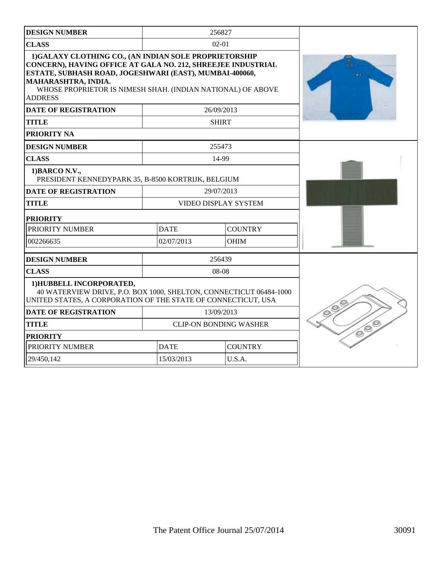| <b>DESIGN NUMBER</b>                                                                                                                                                                                                                                                                     |             | 256827                        |   |
|------------------------------------------------------------------------------------------------------------------------------------------------------------------------------------------------------------------------------------------------------------------------------------------|-------------|-------------------------------|---|
| <b>CLASS</b>                                                                                                                                                                                                                                                                             |             | $02 - 01$                     |   |
| 1)GALAXY CLOTHING CO., (AN INDIAN SOLE PROPRIETORSHIP<br>CONCERN), HAVING OFFICE AT GALA NO. 212, SHREEJEE INDUSTRIAL<br>ESTATE, SUBHASH ROAD, JOGESHWARI (EAST), MUMBAI-400060,<br>MAHARASHTRA, INDIA.<br>WHOSE PROPRIETOR IS NIMESH SHAH. (INDIAN NATIONAL) OF ABOVE<br><b>ADDRESS</b> |             |                               |   |
| <b>DATE OF REGISTRATION</b>                                                                                                                                                                                                                                                              |             | 26/09/2013                    |   |
| <b>TITLE</b>                                                                                                                                                                                                                                                                             |             | <b>SHIRT</b>                  |   |
| PRIORITY NA                                                                                                                                                                                                                                                                              |             |                               |   |
| <b>DESIGN NUMBER</b>                                                                                                                                                                                                                                                                     |             | 255473                        |   |
| <b>CLASS</b>                                                                                                                                                                                                                                                                             |             | 14-99                         |   |
| 1) BARCO N.V.,<br>PRESIDENT KENNEDYPARK 35, B-8500 KORTRIJK, BELGIUM                                                                                                                                                                                                                     |             |                               |   |
| <b>DATE OF REGISTRATION</b>                                                                                                                                                                                                                                                              |             | 29/07/2013                    |   |
| <b>TITLE</b>                                                                                                                                                                                                                                                                             |             | <b>VIDEO DISPLAY SYSTEM</b>   |   |
| <b>PRIORITY</b>                                                                                                                                                                                                                                                                          |             |                               |   |
| PRIORITY NUMBER                                                                                                                                                                                                                                                                          | <b>DATE</b> | <b>COUNTRY</b>                |   |
| 002266635                                                                                                                                                                                                                                                                                | 02/07/2013  | <b>OHIM</b>                   |   |
| <b>DESIGN NUMBER</b>                                                                                                                                                                                                                                                                     |             | 256439                        |   |
| <b>CLASS</b>                                                                                                                                                                                                                                                                             |             | 08-08                         |   |
| 1) HUBBELL INCORPORATED,<br>40 WATERVIEW DRIVE, P.O. BOX 1000, SHELTON, CONNECTICUT 06484-1000<br>UNITED STATES, A CORPORATION OF THE STATE OF CONNECTICUT, USA                                                                                                                          |             |                               |   |
| <b>DATE OF REGISTRATION</b>                                                                                                                                                                                                                                                              |             | 13/09/2013                    |   |
| <b>TITLE</b>                                                                                                                                                                                                                                                                             |             | <b>CLIP-ON BONDING WASHER</b> | ó |
| <b>PRIORITY</b>                                                                                                                                                                                                                                                                          |             |                               |   |
| PRIORITY NUMBER                                                                                                                                                                                                                                                                          | <b>DATE</b> | <b>COUNTRY</b>                |   |
| 29/450,142                                                                                                                                                                                                                                                                               | 15/03/2013  | U.S.A.                        |   |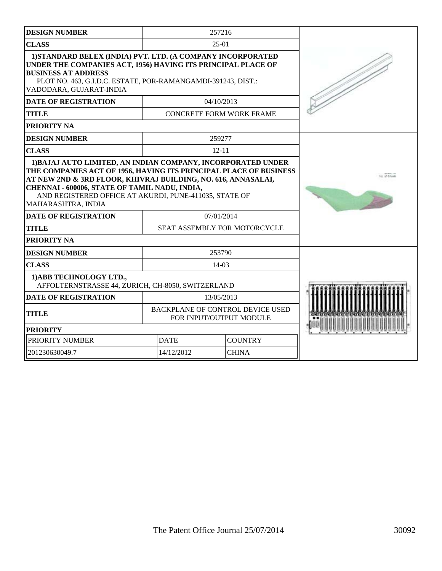| <b>DESIGN NUMBER</b>                                                                                                                                                                                                                                                                                                                |              | 257216                                                      |  |
|-------------------------------------------------------------------------------------------------------------------------------------------------------------------------------------------------------------------------------------------------------------------------------------------------------------------------------------|--------------|-------------------------------------------------------------|--|
| <b>CLASS</b>                                                                                                                                                                                                                                                                                                                        |              | $25-01$                                                     |  |
| 1) STANDARD BELEX (INDIA) PVT. LTD. (A COMPANY INCORPORATED<br>UNDER THE COMPANIES ACT, 1956) HAVING ITS PRINCIPAL PLACE OF<br><b>BUSINESS AT ADDRESS</b><br>PLOT NO. 463, G.I.D.C. ESTATE, POR-RAMANGAMDI-391243, DIST.:<br>VADODARA, GUJARAT-INDIA                                                                                |              |                                                             |  |
| <b>DATE OF REGISTRATION</b>                                                                                                                                                                                                                                                                                                         |              | 04/10/2013                                                  |  |
| <b>TITLE</b>                                                                                                                                                                                                                                                                                                                        |              | <b>CONCRETE FORM WORK FRAME</b>                             |  |
| PRIORITY NA                                                                                                                                                                                                                                                                                                                         |              |                                                             |  |
| <b>DESIGN NUMBER</b>                                                                                                                                                                                                                                                                                                                |              | 259277                                                      |  |
| <b>CLASS</b>                                                                                                                                                                                                                                                                                                                        |              | $12 - 11$                                                   |  |
| 1) BAJAJ AUTO LIMITED, AN INDIAN COMPANY, INCORPORATED UNDER<br>THE COMPANIES ACT OF 1956, HAVING ITS PRINCIPAL PLACE OF BUSINESS<br>AT NEW 2ND & 3RD FLOOR, KHIVRAJ BUILDING, NO. 616, ANNASALAI,<br>CHENNAI - 600006, STATE OF TAMIL NADU, INDIA,<br>AND REGISTERED OFFICE AT AKURDI, PUNE-411035, STATE OF<br>MAHARASHTRA, INDIA | fun of Shout |                                                             |  |
| <b>DATE OF REGISTRATION</b>                                                                                                                                                                                                                                                                                                         |              | 07/01/2014                                                  |  |
| <b>TITLE</b>                                                                                                                                                                                                                                                                                                                        |              | SEAT ASSEMBLY FOR MOTORCYCLE                                |  |
| PRIORITY NA                                                                                                                                                                                                                                                                                                                         |              |                                                             |  |
| <b>DESIGN NUMBER</b>                                                                                                                                                                                                                                                                                                                |              | 253790                                                      |  |
| <b>CLASS</b>                                                                                                                                                                                                                                                                                                                        |              | 14-03                                                       |  |
| 1) ABB TECHNOLOGY LTD.,<br>AFFOLTERNSTRASSE 44, ZURICH, CH-8050, SWITZERLAND                                                                                                                                                                                                                                                        |              |                                                             |  |
| <b>DATE OF REGISTRATION</b>                                                                                                                                                                                                                                                                                                         |              | 13/05/2013                                                  |  |
| <b>TITLE</b>                                                                                                                                                                                                                                                                                                                        |              | BACKPLANE OF CONTROL DEVICE USED<br>FOR INPUT/OUTPUT MODULE |  |
| <b>PRIORITY</b>                                                                                                                                                                                                                                                                                                                     |              |                                                             |  |
| PRIORITY NUMBER                                                                                                                                                                                                                                                                                                                     | <b>DATE</b>  | <b>COUNTRY</b>                                              |  |
| 201230630049.7                                                                                                                                                                                                                                                                                                                      | 14/12/2012   | <b>CHINA</b>                                                |  |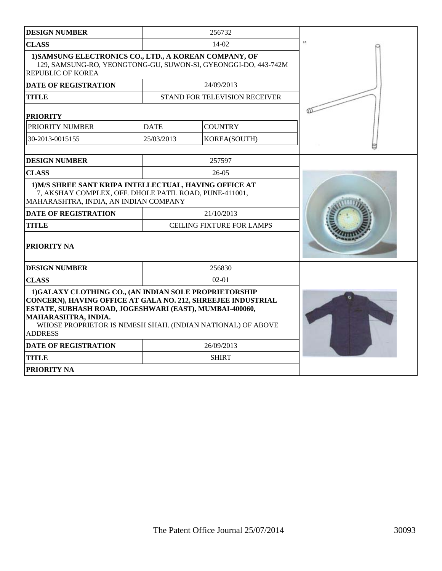| <b>DESIGN NUMBER</b>                                                                                                                                                                                                                                                                     |             | 256732                           |     |
|------------------------------------------------------------------------------------------------------------------------------------------------------------------------------------------------------------------------------------------------------------------------------------------|-------------|----------------------------------|-----|
| <b>CLASS</b>                                                                                                                                                                                                                                                                             |             | $14-02$                          | 3.3 |
| 1) SAMSUNG ELECTRONICS CO., LTD., A KOREAN COMPANY, OF<br>129, SAMSUNG-RO, YEONGTONG-GU, SUWON-SI, GYEONGGI-DO, 443-742M<br><b>REPUBLIC OF KOREA</b>                                                                                                                                     |             |                                  |     |
| <b>DATE OF REGISTRATION</b>                                                                                                                                                                                                                                                              |             | 24/09/2013                       |     |
| <b>TITLE</b>                                                                                                                                                                                                                                                                             |             | STAND FOR TELEVISION RECEIVER    |     |
| <b>PRIORITY</b>                                                                                                                                                                                                                                                                          |             |                                  |     |
| PRIORITY NUMBER                                                                                                                                                                                                                                                                          | <b>DATE</b> | <b>COUNTRY</b>                   |     |
| 30-2013-0015155                                                                                                                                                                                                                                                                          | 25/03/2013  | KOREA(SOUTH)                     |     |
| <b>DESIGN NUMBER</b>                                                                                                                                                                                                                                                                     |             | 257597                           |     |
| <b>CLASS</b>                                                                                                                                                                                                                                                                             |             | $26-05$                          |     |
| 1) M/S SHREE SANT KRIPA INTELLECTUAL, HAVING OFFICE AT<br>7, AKSHAY COMPLEX, OFF. DHOLE PATIL ROAD, PUNE-411001,<br>MAHARASHTRA, INDIA, AN INDIAN COMPANY                                                                                                                                |             |                                  |     |
| <b>DATE OF REGISTRATION</b>                                                                                                                                                                                                                                                              |             | 21/10/2013                       |     |
| <b>TITLE</b>                                                                                                                                                                                                                                                                             |             | <b>CEILING FIXTURE FOR LAMPS</b> |     |
| PRIORITY NA                                                                                                                                                                                                                                                                              |             |                                  |     |
| <b>DESIGN NUMBER</b>                                                                                                                                                                                                                                                                     |             | 256830                           |     |
| <b>CLASS</b>                                                                                                                                                                                                                                                                             |             | $02-01$                          |     |
| 1)GALAXY CLOTHING CO., (AN INDIAN SOLE PROPRIETORSHIP<br>CONCERN), HAVING OFFICE AT GALA NO. 212, SHREEJEE INDUSTRIAL<br>ESTATE, SUBHASH ROAD, JOGESHWARI (EAST), MUMBAI-400060,<br>MAHARASHTRA, INDIA.<br>WHOSE PROPRIETOR IS NIMESH SHAH. (INDIAN NATIONAL) OF ABOVE<br><b>ADDRESS</b> |             |                                  |     |
| <b>DATE OF REGISTRATION</b>                                                                                                                                                                                                                                                              |             | 26/09/2013                       |     |
| <b>TITLE</b>                                                                                                                                                                                                                                                                             |             | <b>SHIRT</b>                     |     |
| <b>PRIORITY NA</b>                                                                                                                                                                                                                                                                       |             |                                  |     |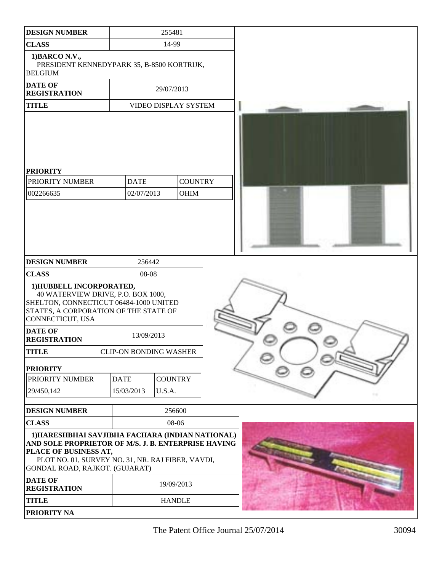| <b>DESIGN NUMBER</b>                                                                                                                                                                                                    | 255481                        |                               |  |  |
|-------------------------------------------------------------------------------------------------------------------------------------------------------------------------------------------------------------------------|-------------------------------|-------------------------------|--|--|
| <b>CLASS</b>                                                                                                                                                                                                            | 14-99                         |                               |  |  |
| 1) BARCO N.V.,<br>PRESIDENT KENNEDYPARK 35, B-8500 KORTRIJK,<br><b>BELGIUM</b>                                                                                                                                          |                               |                               |  |  |
| <b>DATE OF</b><br><b>REGISTRATION</b>                                                                                                                                                                                   |                               | 29/07/2013                    |  |  |
| <b>TITLE</b>                                                                                                                                                                                                            | VIDEO DISPLAY SYSTEM          |                               |  |  |
| <b>PRIORITY</b><br>PRIORITY NUMBER<br>002266635                                                                                                                                                                         | <b>DATE</b><br>02/07/2013     | <b>COUNTRY</b><br><b>OHIM</b> |  |  |
|                                                                                                                                                                                                                         |                               |                               |  |  |
| <b>DESIGN NUMBER</b>                                                                                                                                                                                                    | 256442                        |                               |  |  |
| <b>CLASS</b>                                                                                                                                                                                                            | 08-08                         |                               |  |  |
| 1) HUBBELL INCORPORATED,<br>40 WATERVIEW DRIVE, P.O. BOX 1000,<br>SHELTON, CONNECTICUT 06484-1000 UNITED<br>STATES, A CORPORATION OF THE STATE OF<br>CONNECTICUT, USA                                                   |                               |                               |  |  |
| <b>DATE OF</b><br><b>REGISTRATION</b>                                                                                                                                                                                   | 13/09/2013                    |                               |  |  |
| <b>TITLE</b>                                                                                                                                                                                                            | <b>CLIP-ON BONDING WASHER</b> |                               |  |  |
| <b>PRIORITY</b>                                                                                                                                                                                                         |                               |                               |  |  |
| PRIORITY NUMBER                                                                                                                                                                                                         | <b>DATE</b>                   | <b>COUNTRY</b>                |  |  |
| 29/450,142                                                                                                                                                                                                              | U.S.A.<br>15/03/2013          |                               |  |  |
| <b>DESIGN NUMBER</b>                                                                                                                                                                                                    |                               | 256600                        |  |  |
| <b>CLASS</b>                                                                                                                                                                                                            |                               | 08-06                         |  |  |
| 1) HARESHBHAI SAVJIBHA FACHARA (INDIAN NATIONAL)<br>AND SOLE PROPRIETOR OF M/S. J. B. ENTERPRISE HAVING<br>PLACE OF BUSINESS AT,<br>PLOT NO. 01, SURVEY NO. 31, NR. RAJ FIBER, VAVDI,<br>GONDAL ROAD, RAJKOT. (GUJARAT) |                               |                               |  |  |
| <b>DATE OF</b><br><b>REGISTRATION</b>                                                                                                                                                                                   |                               | 19/09/2013                    |  |  |
| <b>TITLE</b>                                                                                                                                                                                                            |                               | <b>HANDLE</b>                 |  |  |
| PRIORITY NA                                                                                                                                                                                                             |                               |                               |  |  |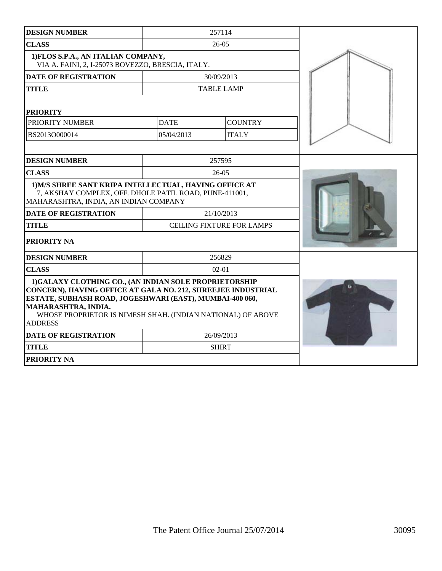| <b>DESIGN NUMBER</b>                                                                                                                                                                                                                                                                       |             | 257114                           |  |
|--------------------------------------------------------------------------------------------------------------------------------------------------------------------------------------------------------------------------------------------------------------------------------------------|-------------|----------------------------------|--|
| <b>CLASS</b>                                                                                                                                                                                                                                                                               |             | $26-05$                          |  |
| 1) FLOS S.P.A., AN ITALIAN COMPANY,<br>VIA A. FAINI, 2, I-25073 BOVEZZO, BRESCIA, ITALY.                                                                                                                                                                                                   |             |                                  |  |
| <b>DATE OF REGISTRATION</b>                                                                                                                                                                                                                                                                |             | 30/09/2013                       |  |
| <b>TITLE</b>                                                                                                                                                                                                                                                                               |             | <b>TABLE LAMP</b>                |  |
| <b>PRIORITY</b>                                                                                                                                                                                                                                                                            |             |                                  |  |
| PRIORITY NUMBER                                                                                                                                                                                                                                                                            | <b>DATE</b> | <b>COUNTRY</b>                   |  |
| BS2013O000014                                                                                                                                                                                                                                                                              | 05/04/2013  | <b>ITALY</b>                     |  |
|                                                                                                                                                                                                                                                                                            |             |                                  |  |
| <b>DESIGN NUMBER</b>                                                                                                                                                                                                                                                                       |             | 257595                           |  |
| <b>CLASS</b>                                                                                                                                                                                                                                                                               |             | $26 - 05$                        |  |
| 1) M/S SHREE SANT KRIPA INTELLECTUAL, HAVING OFFICE AT<br>7, AKSHAY COMPLEX, OFF. DHOLE PATIL ROAD, PUNE-411001,<br>MAHARASHTRA, INDIA, AN INDIAN COMPANY                                                                                                                                  |             |                                  |  |
| <b>DATE OF REGISTRATION</b>                                                                                                                                                                                                                                                                |             | 21/10/2013                       |  |
| <b>TITLE</b>                                                                                                                                                                                                                                                                               |             | <b>CEILING FIXTURE FOR LAMPS</b> |  |
| PRIORITY NA                                                                                                                                                                                                                                                                                |             |                                  |  |
| <b>DESIGN NUMBER</b>                                                                                                                                                                                                                                                                       |             | 256829                           |  |
| <b>CLASS</b>                                                                                                                                                                                                                                                                               |             | $02 - 01$                        |  |
| 1) GALAXY CLOTHING CO., (AN INDIAN SOLE PROPRIETORSHIP<br>CONCERN), HAVING OFFICE AT GALA NO. 212, SHREEJEE INDUSTRIAL<br>ESTATE, SUBHASH ROAD, JOGESHWARI (EAST), MUMBAI-400 060,<br>MAHARASHTRA, INDIA.<br>WHOSE PROPRIETOR IS NIMESH SHAH. (INDIAN NATIONAL) OF ABOVE<br><b>ADDRESS</b> |             |                                  |  |
| <b>DATE OF REGISTRATION</b>                                                                                                                                                                                                                                                                |             | 26/09/2013                       |  |
| <b>TITLE</b>                                                                                                                                                                                                                                                                               |             | <b>SHIRT</b>                     |  |
| PRIORITY NA                                                                                                                                                                                                                                                                                |             |                                  |  |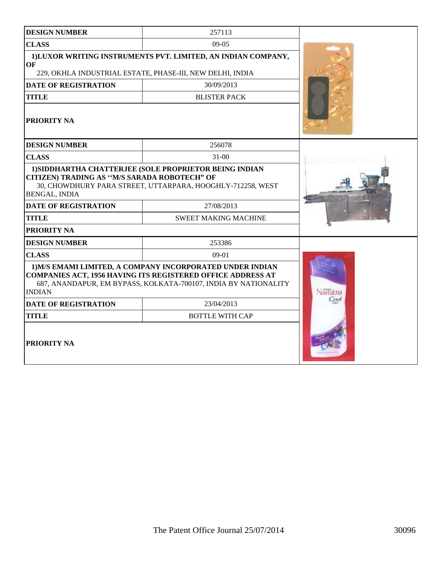| <b>DESIGN NUMBER</b>                                                                                                | 257113                                                                                                                                                            |            |  |
|---------------------------------------------------------------------------------------------------------------------|-------------------------------------------------------------------------------------------------------------------------------------------------------------------|------------|--|
| <b>CLASS</b>                                                                                                        | $09-05$                                                                                                                                                           |            |  |
| OF                                                                                                                  | 1) LUXOR WRITING INSTRUMENTS PVT. LIMITED, AN INDIAN COMPANY,                                                                                                     |            |  |
|                                                                                                                     | 229, OKHLA INDUSTRIAL ESTATE, PHASE-III, NEW DELHI, INDIA                                                                                                         |            |  |
| <b>DATE OF REGISTRATION</b>                                                                                         | 30/09/2013                                                                                                                                                        |            |  |
| <b>TITLE</b>                                                                                                        | <b>BLISTER PACK</b>                                                                                                                                               |            |  |
| <b>PRIORITY NA</b>                                                                                                  |                                                                                                                                                                   |            |  |
| <b>DESIGN NUMBER</b>                                                                                                | 256078                                                                                                                                                            |            |  |
| <b>CLASS</b>                                                                                                        | $31 - 00$                                                                                                                                                         |            |  |
| CITIZEN) TRADING AS "M/S SARADA ROBOTECH" OF<br><b>BENGAL, INDIA</b><br><b>DATE OF REGISTRATION</b><br><b>TITLE</b> | 1) SIDDHARTHA CHATTERJEE (SOLE PROPRIETOR BEING INDIAN<br>30, CHOWDHURY PARA STREET, UTTARPARA, HOOGHLY-712258, WEST<br>27/08/2013<br><b>SWEET MAKING MACHINE</b> |            |  |
| PRIORITY NA                                                                                                         |                                                                                                                                                                   |            |  |
| <b>DESIGN NUMBER</b>                                                                                                | 253386                                                                                                                                                            |            |  |
| <b>CLASS</b>                                                                                                        |                                                                                                                                                                   |            |  |
|                                                                                                                     | $09-01$<br>1) M/S EMAMI LIMITED, A COMPANY INCORPORATED UNDER INDIAN                                                                                              |            |  |
| <b>INDIAN</b>                                                                                                       | <b>COMPANIES ACT, 1956 HAVING ITS REGISTERED OFFICE ADDRESS AT</b><br>687, ANANDAPUR, EM BYPASS, KOLKATA-700107, INDIA BY NATIONALITY                             | vavratna   |  |
| <b>DATE OF REGISTRATION</b>                                                                                         | 23/04/2013                                                                                                                                                        | <b>CNN</b> |  |
| <b>TITLE</b>                                                                                                        | <b>BOTTLE WITH CAP</b>                                                                                                                                            |            |  |
| PRIORITY NA                                                                                                         |                                                                                                                                                                   |            |  |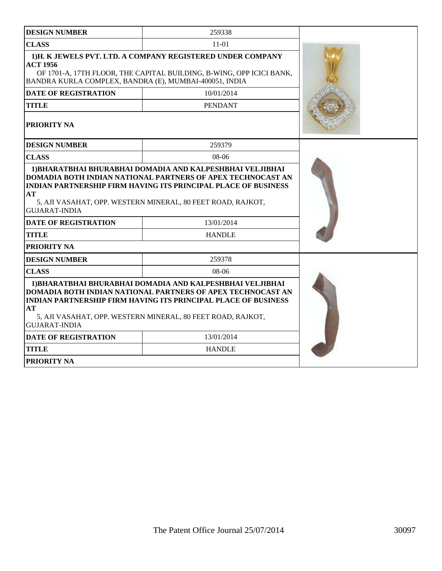| <b>DESIGN NUMBER</b>                                                      | 259338                                                                                                                                                                                                                                                           |  |
|---------------------------------------------------------------------------|------------------------------------------------------------------------------------------------------------------------------------------------------------------------------------------------------------------------------------------------------------------|--|
| <b>CLASS</b>                                                              |                                                                                                                                                                                                                                                                  |  |
| <b>ACT 1956</b><br>BANDRA KURLA COMPLEX, BANDRA (E), MUMBAI-400051, INDIA | 1)H. K JEWELS PVT. LTD. A COMPANY REGISTERED UNDER COMPANY<br>OF 1701-A, 17TH FLOOR, THE CAPITAL BUILDING, B-WING, OPP ICICI BANK,                                                                                                                               |  |
| <b>DATE OF REGISTRATION</b>                                               | 10/01/2014                                                                                                                                                                                                                                                       |  |
| <b>TITLE</b>                                                              | <b>PENDANT</b>                                                                                                                                                                                                                                                   |  |
| <b>PRIORITY NA</b>                                                        |                                                                                                                                                                                                                                                                  |  |
| <b>DESIGN NUMBER</b>                                                      | 259379                                                                                                                                                                                                                                                           |  |
| <b>CLASS</b>                                                              | 08-06                                                                                                                                                                                                                                                            |  |
| AT<br><b>GUJARAT-INDIA</b>                                                | <b>INDIAN PARTNERSHIP FIRM HAVING ITS PRINCIPAL PLACE OF BUSINESS</b><br>5, AJI VASAHAT, OPP. WESTERN MINERAL, 80 FEET ROAD, RAJKOT,                                                                                                                             |  |
| <b>DATE OF REGISTRATION</b>                                               | 13/01/2014                                                                                                                                                                                                                                                       |  |
| TITLE                                                                     | <b>HANDLE</b>                                                                                                                                                                                                                                                    |  |
| <b>PRIORITY NA</b>                                                        |                                                                                                                                                                                                                                                                  |  |
| <b>DESIGN NUMBER</b>                                                      | 259378                                                                                                                                                                                                                                                           |  |
| <b>CLASS</b>                                                              | $08-06$                                                                                                                                                                                                                                                          |  |
| AT<br><b>GUJARAT-INDIA</b>                                                | 1) BHARATBHAI BHURABHAI DOMADIA AND KALPESHBHAI VELJIBHAI<br>DOMADIA BOTH INDIAN NATIONAL PARTNERS OF APEX TECHNOCAST AN<br><b>INDIAN PARTNERSHIP FIRM HAVING ITS PRINCIPAL PLACE OF BUSINESS</b><br>5, AJI VASAHAT, OPP. WESTERN MINERAL, 80 FEET ROAD, RAJKOT, |  |
| <b>DATE OF REGISTRATION</b>                                               | 13/01/2014                                                                                                                                                                                                                                                       |  |
| <b>TITLE</b>                                                              | <b>HANDLE</b>                                                                                                                                                                                                                                                    |  |
| <b>PRIORITY NA</b>                                                        |                                                                                                                                                                                                                                                                  |  |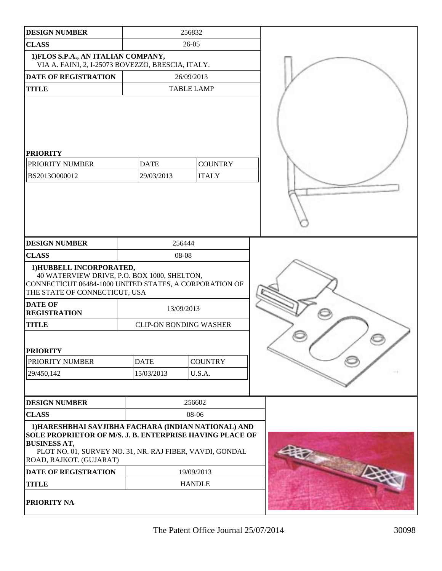| <b>DESIGN NUMBER</b>                                                                                                                                                                                                           |                           | 256832                         |  |
|--------------------------------------------------------------------------------------------------------------------------------------------------------------------------------------------------------------------------------|---------------------------|--------------------------------|--|
| <b>CLASS</b>                                                                                                                                                                                                                   | 26-05                     |                                |  |
| 1) FLOS S.P.A., AN ITALIAN COMPANY,<br>VIA A. FAINI, 2, I-25073 BOVEZZO, BRESCIA, ITALY.                                                                                                                                       |                           |                                |  |
| <b>DATE OF REGISTRATION</b>                                                                                                                                                                                                    | 26/09/2013                |                                |  |
| <b>TITLE</b>                                                                                                                                                                                                                   |                           | <b>TABLE LAMP</b>              |  |
| <b>PRIORITY</b><br>PRIORITY NUMBER<br>BS2013O000012                                                                                                                                                                            | <b>DATE</b><br>29/03/2013 | <b>COUNTRY</b><br><b>ITALY</b> |  |
| <b>DESIGN NUMBER</b>                                                                                                                                                                                                           |                           | 256444                         |  |
| <b>CLASS</b>                                                                                                                                                                                                                   |                           | 08-08                          |  |
| 1) HUBBELL INCORPORATED,<br>40 WATERVIEW DRIVE, P.O. BOX 1000, SHELTON,<br>CONNECTICUT 06484-1000 UNITED STATES, A CORPORATION OF<br>THE STATE OF CONNECTICUT, USA                                                             |                           |                                |  |
| <b>DATE OF</b><br><b>REGISTRATION</b>                                                                                                                                                                                          | 13/09/2013                |                                |  |
| <b>TITLE</b>                                                                                                                                                                                                                   |                           | <b>CLIP-ON BONDING WASHER</b>  |  |
| <b>PRIORITY</b>                                                                                                                                                                                                                | <b>DATE</b>               | <b>COUNTRY</b>                 |  |
| PRIORITY NUMBER                                                                                                                                                                                                                |                           |                                |  |
| 29/450,142                                                                                                                                                                                                                     | 15/03/2013                | U.S.A.                         |  |
| <b>DESIGN NUMBER</b>                                                                                                                                                                                                           |                           | 256602                         |  |
| <b>CLASS</b>                                                                                                                                                                                                                   |                           | 08-06                          |  |
| 1) HARESHBHAI SAVJIBHA FACHARA (INDIAN NATIONAL) AND<br>SOLE PROPRIETOR OF M/S. J. B. ENTERPRISE HAVING PLACE OF<br><b>BUSINESS AT,</b><br>PLOT NO. 01, SURVEY NO. 31, NR. RAJ FIBER, VAVDI, GONDAL<br>ROAD, RAJKOT. (GUJARAT) |                           |                                |  |
| DATE OF REGISTRATION                                                                                                                                                                                                           |                           | 19/09/2013                     |  |
| <b>TITLE</b>                                                                                                                                                                                                                   |                           | <b>HANDLE</b>                  |  |
| PRIORITY NA                                                                                                                                                                                                                    |                           |                                |  |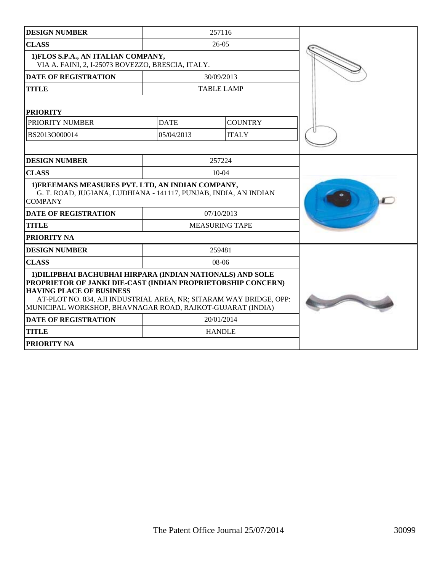| <b>DESIGN NUMBER</b>                                                                                                                                                                                                                                                                              |             | 257116                |  |
|---------------------------------------------------------------------------------------------------------------------------------------------------------------------------------------------------------------------------------------------------------------------------------------------------|-------------|-----------------------|--|
| <b>CLASS</b>                                                                                                                                                                                                                                                                                      |             | $26-05$               |  |
| 1) FLOS S.P.A., AN ITALIAN COMPANY,<br>VIA A. FAINI, 2, I-25073 BOVEZZO, BRESCIA, ITALY.                                                                                                                                                                                                          |             |                       |  |
| <b>DATE OF REGISTRATION</b>                                                                                                                                                                                                                                                                       |             | 30/09/2013            |  |
| <b>TITLE</b>                                                                                                                                                                                                                                                                                      |             | <b>TABLE LAMP</b>     |  |
| <b>PRIORITY</b>                                                                                                                                                                                                                                                                                   |             |                       |  |
| PRIORITY NUMBER                                                                                                                                                                                                                                                                                   | <b>DATE</b> | <b>COUNTRY</b>        |  |
| BS2013O000014                                                                                                                                                                                                                                                                                     | 05/04/2013  | <b>ITALY</b>          |  |
|                                                                                                                                                                                                                                                                                                   |             |                       |  |
| <b>DESIGN NUMBER</b>                                                                                                                                                                                                                                                                              |             | 257224                |  |
| <b>CLASS</b>                                                                                                                                                                                                                                                                                      |             | $10 - 04$             |  |
| 1) FREEMANS MEASURES PVT. LTD, AN INDIAN COMPANY,<br>G. T. ROAD, JUGIANA, LUDHIANA - 141117, PUNJAB, INDIA, AN INDIAN<br><b>COMPANY</b>                                                                                                                                                           |             |                       |  |
| <b>DATE OF REGISTRATION</b>                                                                                                                                                                                                                                                                       |             | 07/10/2013            |  |
| <b>TITLE</b>                                                                                                                                                                                                                                                                                      |             | <b>MEASURING TAPE</b> |  |
| PRIORITY NA                                                                                                                                                                                                                                                                                       |             |                       |  |
| <b>DESIGN NUMBER</b>                                                                                                                                                                                                                                                                              |             | 259481                |  |
| <b>CLASS</b>                                                                                                                                                                                                                                                                                      |             | 08-06                 |  |
| 1) DILIPBHAI BACHUBHAI HIRPARA (INDIAN NATIONALS) AND SOLE<br>PROPRIETOR OF JANKI DIE-CAST (INDIAN PROPRIETORSHIP CONCERN)<br><b>HAVING PLACE OF BUSINESS</b><br>AT-PLOT NO. 834, AJI INDUSTRIAL AREA, NR; SITARAM WAY BRIDGE, OPP:<br>MUNICIPAL WORKSHOP, BHAVNAGAR ROAD, RAJKOT-GUJARAT (INDIA) |             |                       |  |
| <b>DATE OF REGISTRATION</b>                                                                                                                                                                                                                                                                       |             | 20/01/2014            |  |
| <b>TITLE</b>                                                                                                                                                                                                                                                                                      |             | <b>HANDLE</b>         |  |
| <b>PRIORITY NA</b>                                                                                                                                                                                                                                                                                |             |                       |  |
|                                                                                                                                                                                                                                                                                                   |             |                       |  |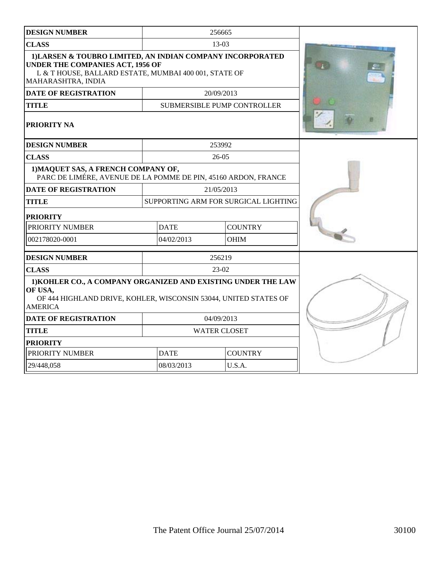| <b>DESIGN NUMBER</b>                                                                                                                                                                 |             | 256665                               |  |
|--------------------------------------------------------------------------------------------------------------------------------------------------------------------------------------|-------------|--------------------------------------|--|
| <b>CLASS</b>                                                                                                                                                                         |             | 13-03                                |  |
| 1) LARSEN & TOUBRO LIMITED, AN INDIAN COMPANY INCORPORATED<br><b>UNDER THE COMPANIES ACT, 1956 OF</b><br>L & T HOUSE, BALLARD ESTATE, MUMBAI 400 001, STATE OF<br>MAHARASHTRA, INDIA |             |                                      |  |
| <b>DATE OF REGISTRATION</b>                                                                                                                                                          |             | 20/09/2013                           |  |
| <b>TITLE</b>                                                                                                                                                                         |             | <b>SUBMERSIBLE PUMP CONTROLLER</b>   |  |
| PRIORITY NA                                                                                                                                                                          |             |                                      |  |
| <b>DESIGN NUMBER</b>                                                                                                                                                                 |             | 253992                               |  |
| <b>CLASS</b>                                                                                                                                                                         |             | $26 - 05$                            |  |
| 1) MAQUET SAS, A FRENCH COMPANY OF,<br>PARC DE LIMÉRE, AVENUE DE LA POMME DE PIN, 45160 ARDON, FRANCE                                                                                |             |                                      |  |
| <b>DATE OF REGISTRATION</b>                                                                                                                                                          |             | 21/05/2013                           |  |
| <b>TITLE</b>                                                                                                                                                                         |             | SUPPORTING ARM FOR SURGICAL LIGHTING |  |
| <b>PRIORITY</b>                                                                                                                                                                      |             |                                      |  |
| PRIORITY NUMBER                                                                                                                                                                      | <b>DATE</b> | <b>COUNTRY</b>                       |  |
| 002178020-0001                                                                                                                                                                       | 04/02/2013  | <b>OHIM</b>                          |  |
| <b>DESIGN NUMBER</b>                                                                                                                                                                 |             | 256219                               |  |
| <b>CLASS</b>                                                                                                                                                                         |             | 23-02                                |  |
| 1) KOHLER CO., A COMPANY ORGANIZED AND EXISTING UNDER THE LAW<br>OF USA,<br>OF 444 HIGHLAND DRIVE, KOHLER, WISCONSIN 53044, UNITED STATES OF<br><b>AMERICA</b>                       |             |                                      |  |
| <b>DATE OF REGISTRATION</b>                                                                                                                                                          |             | 04/09/2013                           |  |
| <b>TITLE</b>                                                                                                                                                                         |             | <b>WATER CLOSET</b>                  |  |
| <b>PRIORITY</b>                                                                                                                                                                      |             |                                      |  |
| PRIORITY NUMBER                                                                                                                                                                      | <b>DATE</b> | <b>COUNTRY</b>                       |  |
| 29/448,058                                                                                                                                                                           | 08/03/2013  | U.S.A.                               |  |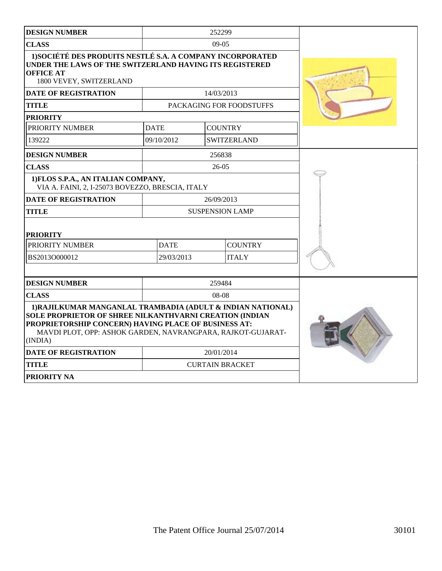| <b>DESIGN NUMBER</b>                                                                                                                                                                                                                                            |             | 252299                 |                                 |  |
|-----------------------------------------------------------------------------------------------------------------------------------------------------------------------------------------------------------------------------------------------------------------|-------------|------------------------|---------------------------------|--|
| <b>CLASS</b>                                                                                                                                                                                                                                                    |             | $09-05$                |                                 |  |
| 1) SOCIÉTÉ DES PRODUITS NESTLÉ S.A. A COMPANY INCORPORATED<br>UNDER THE LAWS OF THE SWITZERLAND HAVING ITS REGISTERED<br><b>OFFICE AT</b><br>1800 VEVEY, SWITZERLAND                                                                                            |             |                        |                                 |  |
| <b>DATE OF REGISTRATION</b>                                                                                                                                                                                                                                     |             | 14/03/2013             |                                 |  |
| <b>TITLE</b>                                                                                                                                                                                                                                                    |             |                        | <b>PACKAGING FOR FOODSTUFFS</b> |  |
| <b>PRIORITY</b>                                                                                                                                                                                                                                                 |             |                        |                                 |  |
| <b>PRIORITY NUMBER</b>                                                                                                                                                                                                                                          | <b>DATE</b> | <b>COUNTRY</b>         |                                 |  |
| 139222                                                                                                                                                                                                                                                          | 09/10/2012  |                        | <b>SWITZERLAND</b>              |  |
| <b>DESIGN NUMBER</b>                                                                                                                                                                                                                                            |             | 256838                 |                                 |  |
| <b>CLASS</b>                                                                                                                                                                                                                                                    |             | $26-05$                |                                 |  |
| 1) FLOS S.P.A., AN ITALIAN COMPANY,<br>VIA A. FAINI, 2, I-25073 BOVEZZO, BRESCIA, ITALY                                                                                                                                                                         |             |                        |                                 |  |
| <b>DATE OF REGISTRATION</b>                                                                                                                                                                                                                                     |             | 26/09/2013             |                                 |  |
| <b>TITLE</b>                                                                                                                                                                                                                                                    |             | <b>SUSPENSION LAMP</b> |                                 |  |
| <b>PRIORITY</b>                                                                                                                                                                                                                                                 |             |                        |                                 |  |
| PRIORITY NUMBER                                                                                                                                                                                                                                                 | <b>DATE</b> |                        | <b>COUNTRY</b>                  |  |
| BS2013O000012                                                                                                                                                                                                                                                   | 29/03/2013  |                        | <b>ITALY</b>                    |  |
|                                                                                                                                                                                                                                                                 |             |                        |                                 |  |
| <b>DESIGN NUMBER</b>                                                                                                                                                                                                                                            |             | 259484                 |                                 |  |
| <b>CLASS</b>                                                                                                                                                                                                                                                    | 08-08       |                        |                                 |  |
| 1) RAJILKUMAR MANGANLAL TRAMBADIA (ADULT & INDIAN NATIONAL)<br><b>SOLE PROPRIETOR OF SHREE NILKANTHVARNI CREATION (INDIAN</b><br>PROPRIETORSHIP CONCERN) HAVING PLACE OF BUSINESS AT:<br>MAVDI PLOT, OPP: ASHOK GARDEN, NAVRANGPARA, RAJKOT-GUJARAT-<br>(INDIA) |             |                        |                                 |  |
| <b>DATE OF REGISTRATION</b>                                                                                                                                                                                                                                     |             | 20/01/2014             |                                 |  |
| <b>TITLE</b>                                                                                                                                                                                                                                                    |             | <b>CURTAIN BRACKET</b> |                                 |  |
| <b>PRIORITY NA</b>                                                                                                                                                                                                                                              |             |                        |                                 |  |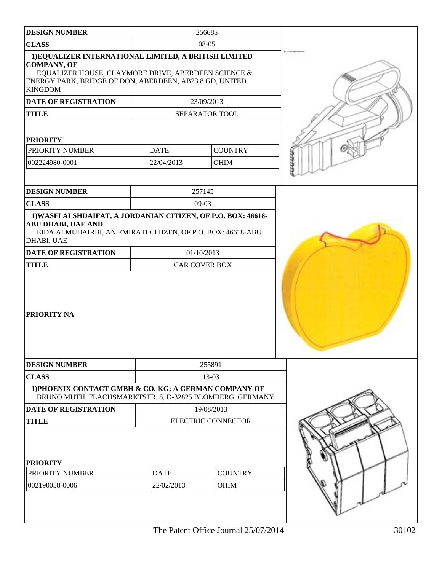| <b>DESIGN NUMBER</b>                                                                                                                                                                                            |                           | 256685                             |  |
|-----------------------------------------------------------------------------------------------------------------------------------------------------------------------------------------------------------------|---------------------------|------------------------------------|--|
| <b>CLASS</b>                                                                                                                                                                                                    |                           | 08-05                              |  |
| 1) EQUALIZER INTERNATIONAL LIMITED, A BRITISH LIMITED<br><b>COMPANY, OF</b><br>EQUALIZER HOUSE, CLAYMORE DRIVE, ABERDEEN SCIENCE &<br>ENERGY PARK, BRIDGE OF DON, ABERDEEN, AB23 8 GD, UNITED<br><b>KINGDOM</b> |                           |                                    |  |
| DATE OF REGISTRATION                                                                                                                                                                                            |                           | 23/09/2013                         |  |
| <b>TITLE</b>                                                                                                                                                                                                    |                           | SEPARATOR TOOL                     |  |
| <b>PRIORITY</b><br>PRIORITY NUMBER<br>002224980-0001                                                                                                                                                            | <b>DATE</b><br>22/04/2013 | <b>COUNTRY</b><br>OHIM             |  |
| <b>DESIGN NUMBER</b>                                                                                                                                                                                            |                           | 257145                             |  |
| <b>CLASS</b>                                                                                                                                                                                                    |                           | 09-03                              |  |
| 1) WASFI ALSHDAIFAT, A JORDANIAN CITIZEN, OF P.O. BOX: 46618-<br><b>ABU DHABI, UAE AND</b><br>EIDA ALMUHAIRBI, AN EMIRATI CITIZEN, OF P.O. BOX: 46618-ABU<br>DHABI, UAE                                         |                           |                                    |  |
| <b>DATE OF REGISTRATION</b><br><b>TITLE</b>                                                                                                                                                                     |                           | 01/10/2013<br><b>CAR COVER BOX</b> |  |
| PRIORITY NA                                                                                                                                                                                                     |                           |                                    |  |
| <b>DESIGN NUMBER</b>                                                                                                                                                                                            |                           | 255891                             |  |
| <b>CLASS</b>                                                                                                                                                                                                    |                           | 13-03                              |  |
| 1) PHOENIX CONTACT GMBH & CO. KG; A GERMAN COMPANY OF<br>BRUNO MUTH, FLACHSMARKTSTR. 8, D-32825 BLOMBERG, GERMANY                                                                                               |                           |                                    |  |
| <b>DATE OF REGISTRATION</b>                                                                                                                                                                                     |                           | 19/08/2013                         |  |
| <b>TITLE</b>                                                                                                                                                                                                    |                           | <b>ELECTRIC CONNECTOR</b>          |  |
| <b>PRIORITY</b><br>PRIORITY NUMBER<br>002190058-0006                                                                                                                                                            | <b>DATE</b><br>22/02/2013 | <b>COUNTRY</b><br><b>OHIM</b>      |  |
|                                                                                                                                                                                                                 |                           |                                    |  |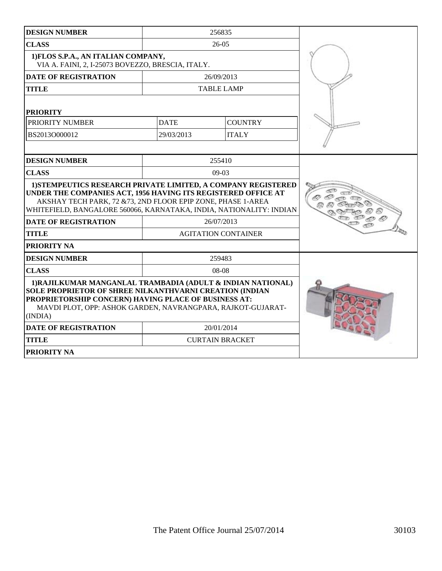| <b>DESIGN NUMBER</b>                                                                                                                                                                                                                                                  | 256835                     |                |  |
|-----------------------------------------------------------------------------------------------------------------------------------------------------------------------------------------------------------------------------------------------------------------------|----------------------------|----------------|--|
| <b>CLASS</b>                                                                                                                                                                                                                                                          | $26 - 05$                  |                |  |
| 1) FLOS S.P.A., AN ITALIAN COMPANY,<br>VIA A. FAINI, 2, I-25073 BOVEZZO, BRESCIA, ITALY.                                                                                                                                                                              |                            |                |  |
| <b>DATE OF REGISTRATION</b>                                                                                                                                                                                                                                           | 26/09/2013                 |                |  |
| <b>TITLE</b>                                                                                                                                                                                                                                                          | <b>TABLE LAMP</b>          |                |  |
| <b>PRIORITY</b>                                                                                                                                                                                                                                                       |                            |                |  |
| PRIORITY NUMBER                                                                                                                                                                                                                                                       | <b>DATE</b>                | <b>COUNTRY</b> |  |
| BS2013O000012                                                                                                                                                                                                                                                         | 29/03/2013                 | <b>ITALY</b>   |  |
|                                                                                                                                                                                                                                                                       |                            |                |  |
| <b>DESIGN NUMBER</b>                                                                                                                                                                                                                                                  | 255410                     |                |  |
| <b>CLASS</b>                                                                                                                                                                                                                                                          | $09-03$                    |                |  |
| 1) STEMPEUTICS RESEARCH PRIVATE LIMITED, A COMPANY REGISTERED<br>UNDER THE COMPANIES ACT, 1956 HAVING ITS REGISTERED OFFICE AT<br>AKSHAY TECH PARK, 72 & 73, 2ND FLOOR EPIP ZONE, PHASE 1-AREA<br>WHITEFIELD, BANGALORE 560066, KARNATAKA, INDIA, NATIONALITY: INDIAN |                            |                |  |
| <b>DATE OF REGISTRATION</b>                                                                                                                                                                                                                                           | 26/07/2013                 |                |  |
| <b>TITLE</b>                                                                                                                                                                                                                                                          | <b>AGITATION CONTAINER</b> |                |  |
| <b>PRIORITY NA</b>                                                                                                                                                                                                                                                    |                            |                |  |
| <b>DESIGN NUMBER</b>                                                                                                                                                                                                                                                  | 259483                     |                |  |
| <b>CLASS</b>                                                                                                                                                                                                                                                          | 08-08                      |                |  |
| 1) RAJILKUMAR MANGANLAL TRAMBADIA (ADULT & INDIAN NATIONAL)<br><b>SOLE PROPRIETOR OF SHREE NILKANTHVARNI CREATION (INDIAN</b><br>PROPRIETORSHIP CONCERN) HAVING PLACE OF BUSINESS AT:<br>MAVDI PLOT, OPP: ASHOK GARDEN, NAVRANGPARA, RAJKOT-GUJARAT-<br>(INDIA)       |                            |                |  |
| <b>DATE OF REGISTRATION</b>                                                                                                                                                                                                                                           | 20/01/2014                 |                |  |
| <b>TITLE</b>                                                                                                                                                                                                                                                          | <b>CURTAIN BRACKET</b>     |                |  |
| PRIORITY NA                                                                                                                                                                                                                                                           |                            |                |  |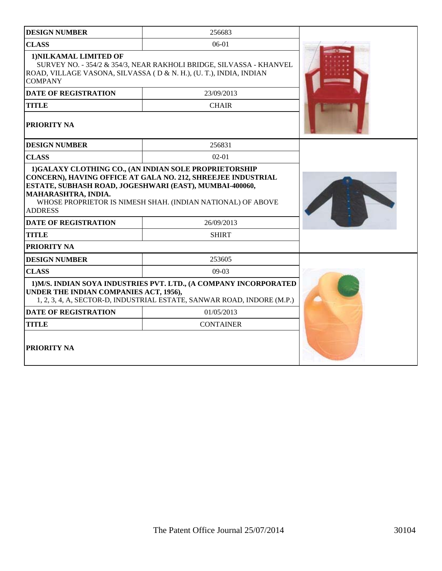| <b>DESIGN NUMBER</b>                                                                             | 256683                                                                                                                                      |  |
|--------------------------------------------------------------------------------------------------|---------------------------------------------------------------------------------------------------------------------------------------------|--|
| <b>CLASS</b>                                                                                     | 06-01                                                                                                                                       |  |
| 1) NILKAMAL LIMITED OF<br><b>COMPANY</b>                                                         | SURVEY NO. - 354/2 & 354/3, NEAR RAKHOLI BRIDGE, SILVASSA - KHANVEL<br>ROAD, VILLAGE VASONA, SILVASSA (D & N. H.), (U. T.), INDIA, INDIAN   |  |
| <b>DATE OF REGISTRATION</b>                                                                      | 23/09/2013                                                                                                                                  |  |
| <b>TITLE</b>                                                                                     | <b>CHAIR</b>                                                                                                                                |  |
| PRIORITY NA                                                                                      |                                                                                                                                             |  |
| <b>DESIGN NUMBER</b>                                                                             | 256831                                                                                                                                      |  |
| <b>CLASS</b>                                                                                     | $02 - 01$                                                                                                                                   |  |
| ESTATE, SUBHASH ROAD, JOGESHWARI (EAST), MUMBAI-400060,<br>MAHARASHTRA, INDIA.<br><b>ADDRESS</b> | CONCERN), HAVING OFFICE AT GALA NO. 212, SHREEJEE INDUSTRIAL<br>WHOSE PROPRIETOR IS NIMESH SHAH. (INDIAN NATIONAL) OF ABOVE                 |  |
| <b>DATE OF REGISTRATION</b>                                                                      | 26/09/2013                                                                                                                                  |  |
| <b>TITLE</b>                                                                                     | <b>SHIRT</b>                                                                                                                                |  |
| PRIORITY NA                                                                                      |                                                                                                                                             |  |
| <b>DESIGN NUMBER</b>                                                                             | 253605                                                                                                                                      |  |
| <b>CLASS</b>                                                                                     | $09-03$                                                                                                                                     |  |
| UNDER THE INDIAN COMPANIES ACT, 1956),                                                           | 1) M/S. INDIAN SOYA INDUSTRIES PVT. LTD., (A COMPANY INCORPORATED<br>1, 2, 3, 4, A, SECTOR-D, INDUSTRIAL ESTATE, SANWAR ROAD, INDORE (M.P.) |  |
| <b>DATE OF REGISTRATION</b>                                                                      | 01/05/2013                                                                                                                                  |  |
| <b>TITLE</b>                                                                                     | <b>CONTAINER</b>                                                                                                                            |  |
| <b>PRIORITY NA</b>                                                                               |                                                                                                                                             |  |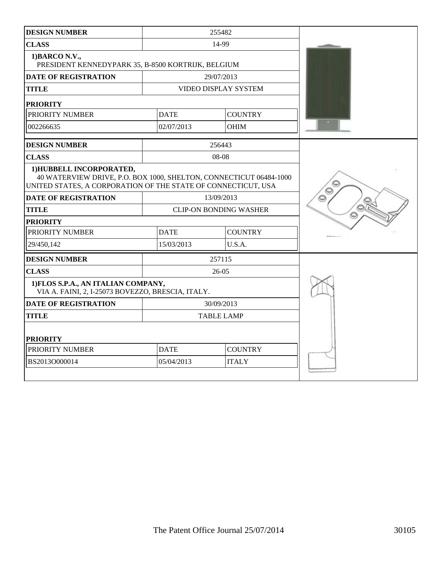| <b>DESIGN NUMBER</b>                                                                                                                                            |                               | 255482                        |         |
|-----------------------------------------------------------------------------------------------------------------------------------------------------------------|-------------------------------|-------------------------------|---------|
| <b>CLASS</b>                                                                                                                                                    |                               | 14-99                         |         |
| 1) BARCO N.V.,<br>PRESIDENT KENNEDYPARK 35, B-8500 KORTRIJK, BELGIUM                                                                                            |                               |                               |         |
| <b>DATE OF REGISTRATION</b>                                                                                                                                     |                               | 29/07/2013                    |         |
| <b>TITLE</b>                                                                                                                                                    |                               | VIDEO DISPLAY SYSTEM          |         |
| <b>PRIORITY</b>                                                                                                                                                 |                               |                               |         |
| PRIORITY NUMBER                                                                                                                                                 | <b>DATE</b>                   | <b>COUNTRY</b>                |         |
| 002266635                                                                                                                                                       | 02/07/2013                    | <b>OHIM</b>                   |         |
| <b>DESIGN NUMBER</b>                                                                                                                                            |                               | 256443                        |         |
| <b>CLASS</b>                                                                                                                                                    |                               | 08-08                         |         |
| 1) HUBBELL INCORPORATED,<br>40 WATERVIEW DRIVE, P.O. BOX 1000, SHELTON, CONNECTICUT 06484-1000<br>UNITED STATES, A CORPORATION OF THE STATE OF CONNECTICUT, USA | O                             |                               |         |
| <b>DATE OF REGISTRATION</b>                                                                                                                                     |                               | 13/09/2013                    | $\circ$ |
| <b>TITLE</b>                                                                                                                                                    |                               | <b>CLIP-ON BONDING WASHER</b> |         |
| <b>PRIORITY</b>                                                                                                                                                 |                               |                               |         |
| PRIORITY NUMBER                                                                                                                                                 | <b>DATE</b>                   | <b>COUNTRY</b>                |         |
| 29/450,142                                                                                                                                                      | 15/03/2013                    | U.S.A.                        |         |
| <b>DESIGN NUMBER</b>                                                                                                                                            |                               | 257115                        |         |
| <b>CLASS</b>                                                                                                                                                    |                               | $26 - 05$                     |         |
| 1) FLOS S.P.A., AN ITALIAN COMPANY,<br>VIA A. FAINI, 2, I-25073 BOVEZZO, BRESCIA, ITALY.                                                                        |                               |                               |         |
| <b>DATE OF REGISTRATION</b>                                                                                                                                     |                               | 30/09/2013                    |         |
| <b>TITLE</b>                                                                                                                                                    |                               | <b>TABLE LAMP</b>             |         |
| <b>PRIORITY</b>                                                                                                                                                 |                               |                               |         |
| PRIORITY NUMBER                                                                                                                                                 | <b>DATE</b><br><b>COUNTRY</b> |                               |         |
| BS2013O000014                                                                                                                                                   | 05/04/2013<br><b>ITALY</b>    |                               |         |
|                                                                                                                                                                 |                               |                               |         |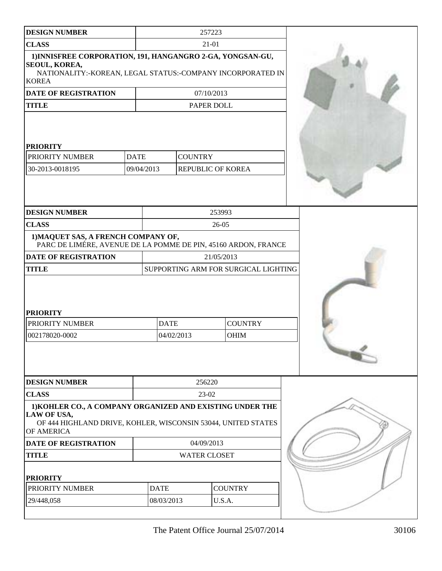| <b>DESIGN NUMBER</b>                                                                                                                                      |             |                                      | 257223              |                        |  |
|-----------------------------------------------------------------------------------------------------------------------------------------------------------|-------------|--------------------------------------|---------------------|------------------------|--|
| <b>CLASS</b>                                                                                                                                              |             | $21 - 01$                            |                     |                        |  |
| 1) INNISFREE CORPORATION, 191, HANGANGRO 2-GA, YONGSAN-GU,<br>SEOUL, KOREA,<br>NATIONALITY:-KOREAN, LEGAL STATUS:-COMPANY INCORPORATED IN<br><b>KOREA</b> |             |                                      |                     |                        |  |
| <b>DATE OF REGISTRATION</b>                                                                                                                               |             |                                      | 07/10/2013          |                        |  |
| <b>TITLE</b>                                                                                                                                              |             |                                      |                     | PAPER DOLL             |  |
| <b>PRIORITY</b><br>PRIORITY NUMBER                                                                                                                        | <b>DATE</b> |                                      | <b>COUNTRY</b>      |                        |  |
| 30-2013-0018195                                                                                                                                           | 09/04/2013  |                                      |                     | REPUBLIC OF KOREA      |  |
| <b>DESIGN NUMBER</b>                                                                                                                                      |             |                                      |                     | 253993                 |  |
| <b>CLASS</b>                                                                                                                                              |             |                                      |                     | 26-05                  |  |
| 1) MAQUET SAS, A FRENCH COMPANY OF,<br>PARC DE LIMÉRE, AVENUE DE LA POMME DE PIN, 45160 ARDON, FRANCE                                                     |             |                                      |                     |                        |  |
| <b>DATE OF REGISTRATION</b>                                                                                                                               |             |                                      |                     | 21/05/2013             |  |
| <b>TITLE</b>                                                                                                                                              |             | SUPPORTING ARM FOR SURGICAL LIGHTING |                     |                        |  |
| <b>PRIORITY</b><br>PRIORITY NUMBER<br>002178020-0002                                                                                                      |             | <b>DATE</b><br>04/02/2013            |                     | <b>COUNTRY</b><br>OHIM |  |
| <b>DESIGN NUMBER</b>                                                                                                                                      |             |                                      | 256220              |                        |  |
| <b>CLASS</b>                                                                                                                                              |             |                                      | 23-02               |                        |  |
| 1) KOHLER CO., A COMPANY ORGANIZED AND EXISTING UNDER THE<br>LAW OF USA,<br>OF 444 HIGHLAND DRIVE, KOHLER, WISCONSIN 53044, UNITED STATES<br>OF AMERICA   |             |                                      |                     |                        |  |
| <b>DATE OF REGISTRATION</b>                                                                                                                               |             | 04/09/2013                           |                     |                        |  |
| <b>TITLE</b>                                                                                                                                              |             |                                      | <b>WATER CLOSET</b> |                        |  |
| <b>PRIORITY</b><br>PRIORITY NUMBER                                                                                                                        |             | <b>DATE</b>                          |                     | <b>COUNTRY</b>         |  |
| 29/448,058                                                                                                                                                |             | 08/03/2013                           | U.S.A.              |                        |  |
|                                                                                                                                                           |             |                                      |                     |                        |  |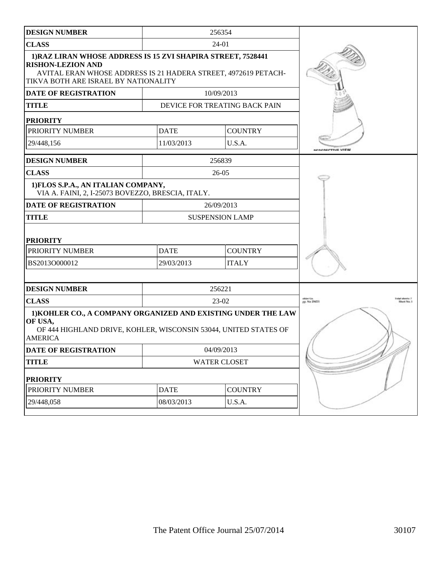| <b>DESIGN NUMBER</b>                                                                                                                                                                               |                               | 256354                        |                             |
|----------------------------------------------------------------------------------------------------------------------------------------------------------------------------------------------------|-------------------------------|-------------------------------|-----------------------------|
| <b>CLASS</b>                                                                                                                                                                                       |                               | 24-01                         |                             |
| 1) RAZ LIRAN WHOSE ADDRESS IS 15 ZVI SHAPIRA STREET, 7528441<br><b>RISHON-LEZION AND</b><br>AVITAL ERAN WHOSE ADDRESS IS 21 HADERA STREET, 4972619 PETACH-<br>TIKVA BOTH ARE ISRAEL BY NATIONALITY |                               |                               |                             |
| <b>DATE OF REGISTRATION</b>                                                                                                                                                                        |                               | 10/09/2013                    |                             |
| <b>TITLE</b>                                                                                                                                                                                       |                               | DEVICE FOR TREATING BACK PAIN |                             |
| <b>PRIORITY</b>                                                                                                                                                                                    |                               |                               |                             |
| PRIORITY NUMBER                                                                                                                                                                                    | <b>DATE</b>                   | <b>COUNTRY</b>                |                             |
| 29/448,156                                                                                                                                                                                         | 11/03/2013                    | U.S.A.                        | <b>CALCTIVE VIEW</b>        |
| <b>DESIGN NUMBER</b>                                                                                                                                                                               |                               | 256839                        |                             |
| <b>CLASS</b>                                                                                                                                                                                       |                               | $26-05$                       |                             |
| 1) FLOS S.P.A., AN ITALIAN COMPANY,<br>VIA A. FAINI, 2, I-25073 BOVEZZO, BRESCIA, ITALY.                                                                                                           |                               |                               |                             |
| <b>DATE OF REGISTRATION</b>                                                                                                                                                                        |                               | 26/09/2013                    |                             |
| <b>TITLE</b>                                                                                                                                                                                       |                               | <b>SUSPENSION LAMP</b>        |                             |
| <b>PRIORITY</b>                                                                                                                                                                                    |                               |                               |                             |
| PRIORITY NUMBER                                                                                                                                                                                    | <b>COUNTRY</b><br><b>DATE</b> |                               |                             |
| BS2013O000012                                                                                                                                                                                      | 29/03/2013                    | <b>ITALY</b>                  |                             |
| <b>DESIGN NUMBER</b>                                                                                                                                                                               |                               | 256221                        |                             |
| <b>CLASS</b>                                                                                                                                                                                       |                               | 23-02                         | obler Co.<br>pp. No. 256231 |
| 1) KOHLER CO., A COMPANY ORGANIZED AND EXISTING UNDER THE LAW<br>OF USA,<br>OF 444 HIGHLAND DRIVE, KOHLER, WISCONSIN 53044, UNITED STATES OF<br><b>AMERICA</b>                                     |                               |                               |                             |
| <b>DATE OF REGISTRATION</b>                                                                                                                                                                        |                               | 04/09/2013                    |                             |
| <b>TITLE</b>                                                                                                                                                                                       |                               | <b>WATER CLOSET</b>           |                             |
| <b>PRIORITY</b>                                                                                                                                                                                    |                               |                               |                             |
| PRIORITY NUMBER                                                                                                                                                                                    | <b>DATE</b>                   | <b>COUNTRY</b>                |                             |
| 29/448,058                                                                                                                                                                                         | 08/03/2013                    | U.S.A.                        |                             |
|                                                                                                                                                                                                    |                               |                               |                             |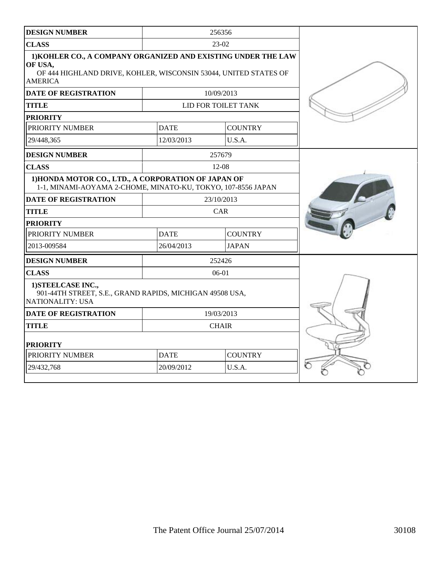| <b>DESIGN NUMBER</b>                                                                                                                                           |             | 256356              |  |
|----------------------------------------------------------------------------------------------------------------------------------------------------------------|-------------|---------------------|--|
| <b>CLASS</b>                                                                                                                                                   |             | 23-02               |  |
| 1) KOHLER CO., A COMPANY ORGANIZED AND EXISTING UNDER THE LAW<br>OF USA,<br>OF 444 HIGHLAND DRIVE, KOHLER, WISCONSIN 53044, UNITED STATES OF<br><b>AMERICA</b> |             |                     |  |
| <b>DATE OF REGISTRATION</b>                                                                                                                                    |             | 10/09/2013          |  |
| <b>TITLE</b>                                                                                                                                                   |             | LID FOR TOILET TANK |  |
| <b>PRIORITY</b>                                                                                                                                                |             |                     |  |
| PRIORITY NUMBER                                                                                                                                                | <b>DATE</b> | <b>COUNTRY</b>      |  |
| 29/448,365                                                                                                                                                     | 12/03/2013  | U.S.A.              |  |
| <b>DESIGN NUMBER</b>                                                                                                                                           |             | 257679              |  |
| <b>CLASS</b>                                                                                                                                                   |             | $12 - 08$           |  |
| 1) HONDA MOTOR CO., LTD., A CORPORATION OF JAPAN OF<br>1-1, MINAMI-AOYAMA 2-CHOME, MINATO-KU, TOKYO, 107-8556 JAPAN                                            |             |                     |  |
| <b>DATE OF REGISTRATION</b>                                                                                                                                    |             | 23/10/2013          |  |
| <b>TITLE</b>                                                                                                                                                   |             | CAR                 |  |
| <b>PRIORITY</b>                                                                                                                                                |             |                     |  |
| PRIORITY NUMBER                                                                                                                                                | <b>DATE</b> | <b>COUNTRY</b>      |  |
| 2013-009584                                                                                                                                                    | 26/04/2013  | <b>JAPAN</b>        |  |
| <b>DESIGN NUMBER</b>                                                                                                                                           |             | 252426              |  |
| <b>CLASS</b>                                                                                                                                                   |             | $06-01$             |  |
| 1) STEELCASE INC.,<br>901-44TH STREET, S.E., GRAND RAPIDS, MICHIGAN 49508 USA,<br>NATIONALITY: USA                                                             |             |                     |  |
| <b>DATE OF REGISTRATION</b>                                                                                                                                    |             | 19/03/2013          |  |
| <b>TITLE</b>                                                                                                                                                   |             | <b>CHAIR</b>        |  |
| <b>PRIORITY</b>                                                                                                                                                |             |                     |  |
| PRIORITY NUMBER                                                                                                                                                | <b>DATE</b> | <b>COUNTRY</b>      |  |
| 29/432,768                                                                                                                                                     | 20/09/2012  | U.S.A.              |  |
|                                                                                                                                                                |             |                     |  |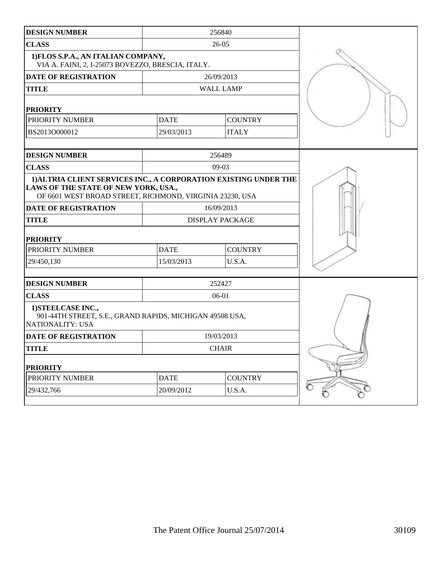| <b>CLASS</b><br>$26 - 05$<br>1) FLOS S.P.A., AN ITALIAN COMPANY,<br>VIA A. FAINI, 2, I-25073 BOVEZZO, BRESCIA, ITALY.<br><b>DATE OF REGISTRATION</b><br>26/09/2013<br><b>TITLE</b><br><b>WALL LAMP</b><br><b>PRIORITY</b><br><b>COUNTRY</b><br>PRIORITY NUMBER<br><b>DATE</b><br>BS2013O000012<br>29/03/2013<br><b>ITALY</b><br>256489<br><b>DESIGN NUMBER</b><br><b>CLASS</b><br>$09-03$<br>1) ALTRIA CLIENT SERVICES INC., A CORPORATION EXISTING UNDER THE<br>LAWS OF THE STATE OF NEW YORK, USA.,<br>OF 6601 WEST BROAD STREET, RICHMOND, VIRGINIA 23230, USA<br><b>DATE OF REGISTRATION</b><br>16/09/2013<br><b>TITLE</b><br><b>DISPLAY PACKAGE</b><br><b>PRIORITY</b><br><b>DATE</b><br><b>COUNTRY</b><br>PRIORITY NUMBER<br>29/450,130<br>15/03/2013<br>U.S.A.<br><b>DESIGN NUMBER</b><br>252427<br><b>CLASS</b><br>$06-01$<br>1) STEELCASE INC.,<br>901-44TH STREET, S.E., GRAND RAPIDS, MICHIGAN 49508 USA,<br><b>NATIONALITY: USA</b><br><b>DATE OF REGISTRATION</b><br>19/03/2013<br><b>TITLE</b><br><b>CHAIR</b><br><b>PRIORITY</b><br><b>DATE</b><br><b>COUNTRY</b><br>PRIORITY NUMBER<br>20/09/2012<br>29/432,766 | <b>DESIGN NUMBER</b> |        | 256840 |  |
|---------------------------------------------------------------------------------------------------------------------------------------------------------------------------------------------------------------------------------------------------------------------------------------------------------------------------------------------------------------------------------------------------------------------------------------------------------------------------------------------------------------------------------------------------------------------------------------------------------------------------------------------------------------------------------------------------------------------------------------------------------------------------------------------------------------------------------------------------------------------------------------------------------------------------------------------------------------------------------------------------------------------------------------------------------------------------------------------------------------------------------|----------------------|--------|--------|--|
|                                                                                                                                                                                                                                                                                                                                                                                                                                                                                                                                                                                                                                                                                                                                                                                                                                                                                                                                                                                                                                                                                                                                 |                      |        |        |  |
|                                                                                                                                                                                                                                                                                                                                                                                                                                                                                                                                                                                                                                                                                                                                                                                                                                                                                                                                                                                                                                                                                                                                 |                      |        |        |  |
|                                                                                                                                                                                                                                                                                                                                                                                                                                                                                                                                                                                                                                                                                                                                                                                                                                                                                                                                                                                                                                                                                                                                 |                      |        |        |  |
|                                                                                                                                                                                                                                                                                                                                                                                                                                                                                                                                                                                                                                                                                                                                                                                                                                                                                                                                                                                                                                                                                                                                 |                      |        |        |  |
|                                                                                                                                                                                                                                                                                                                                                                                                                                                                                                                                                                                                                                                                                                                                                                                                                                                                                                                                                                                                                                                                                                                                 |                      |        |        |  |
|                                                                                                                                                                                                                                                                                                                                                                                                                                                                                                                                                                                                                                                                                                                                                                                                                                                                                                                                                                                                                                                                                                                                 |                      |        |        |  |
|                                                                                                                                                                                                                                                                                                                                                                                                                                                                                                                                                                                                                                                                                                                                                                                                                                                                                                                                                                                                                                                                                                                                 |                      |        |        |  |
|                                                                                                                                                                                                                                                                                                                                                                                                                                                                                                                                                                                                                                                                                                                                                                                                                                                                                                                                                                                                                                                                                                                                 |                      |        |        |  |
|                                                                                                                                                                                                                                                                                                                                                                                                                                                                                                                                                                                                                                                                                                                                                                                                                                                                                                                                                                                                                                                                                                                                 |                      |        |        |  |
|                                                                                                                                                                                                                                                                                                                                                                                                                                                                                                                                                                                                                                                                                                                                                                                                                                                                                                                                                                                                                                                                                                                                 |                      |        |        |  |
|                                                                                                                                                                                                                                                                                                                                                                                                                                                                                                                                                                                                                                                                                                                                                                                                                                                                                                                                                                                                                                                                                                                                 |                      |        |        |  |
|                                                                                                                                                                                                                                                                                                                                                                                                                                                                                                                                                                                                                                                                                                                                                                                                                                                                                                                                                                                                                                                                                                                                 |                      |        |        |  |
|                                                                                                                                                                                                                                                                                                                                                                                                                                                                                                                                                                                                                                                                                                                                                                                                                                                                                                                                                                                                                                                                                                                                 |                      |        |        |  |
|                                                                                                                                                                                                                                                                                                                                                                                                                                                                                                                                                                                                                                                                                                                                                                                                                                                                                                                                                                                                                                                                                                                                 |                      |        |        |  |
|                                                                                                                                                                                                                                                                                                                                                                                                                                                                                                                                                                                                                                                                                                                                                                                                                                                                                                                                                                                                                                                                                                                                 |                      |        |        |  |
|                                                                                                                                                                                                                                                                                                                                                                                                                                                                                                                                                                                                                                                                                                                                                                                                                                                                                                                                                                                                                                                                                                                                 |                      |        |        |  |
|                                                                                                                                                                                                                                                                                                                                                                                                                                                                                                                                                                                                                                                                                                                                                                                                                                                                                                                                                                                                                                                                                                                                 |                      |        |        |  |
|                                                                                                                                                                                                                                                                                                                                                                                                                                                                                                                                                                                                                                                                                                                                                                                                                                                                                                                                                                                                                                                                                                                                 |                      |        |        |  |
|                                                                                                                                                                                                                                                                                                                                                                                                                                                                                                                                                                                                                                                                                                                                                                                                                                                                                                                                                                                                                                                                                                                                 |                      |        |        |  |
|                                                                                                                                                                                                                                                                                                                                                                                                                                                                                                                                                                                                                                                                                                                                                                                                                                                                                                                                                                                                                                                                                                                                 |                      |        |        |  |
|                                                                                                                                                                                                                                                                                                                                                                                                                                                                                                                                                                                                                                                                                                                                                                                                                                                                                                                                                                                                                                                                                                                                 |                      |        |        |  |
|                                                                                                                                                                                                                                                                                                                                                                                                                                                                                                                                                                                                                                                                                                                                                                                                                                                                                                                                                                                                                                                                                                                                 |                      |        |        |  |
|                                                                                                                                                                                                                                                                                                                                                                                                                                                                                                                                                                                                                                                                                                                                                                                                                                                                                                                                                                                                                                                                                                                                 |                      |        |        |  |
|                                                                                                                                                                                                                                                                                                                                                                                                                                                                                                                                                                                                                                                                                                                                                                                                                                                                                                                                                                                                                                                                                                                                 |                      | U.S.A. |        |  |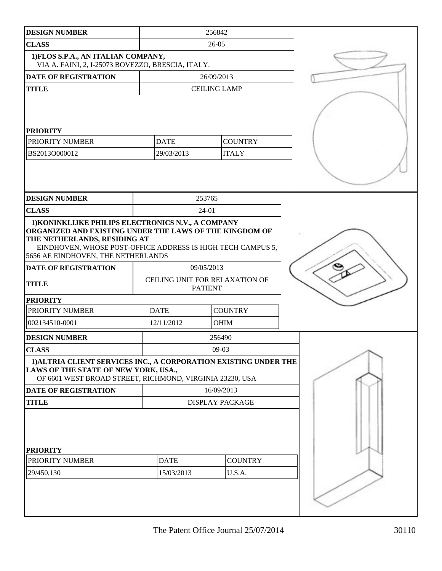| <b>DESIGN NUMBER</b>                                                                                                                                                                         |                                                  | 256842              |                |  |
|----------------------------------------------------------------------------------------------------------------------------------------------------------------------------------------------|--------------------------------------------------|---------------------|----------------|--|
| <b>CLASS</b>                                                                                                                                                                                 | $26 - 05$                                        |                     |                |  |
| 1) FLOS S.P.A., AN ITALIAN COMPANY,<br>VIA A. FAINI, 2, I-25073 BOVEZZO, BRESCIA, ITALY.                                                                                                     |                                                  |                     |                |  |
| <b>DATE OF REGISTRATION</b>                                                                                                                                                                  |                                                  | 26/09/2013          |                |  |
| <b>TITLE</b>                                                                                                                                                                                 |                                                  | <b>CEILING LAMP</b> |                |  |
| <b>PRIORITY</b><br>PRIORITY NUMBER<br>BS2013O000012                                                                                                                                          | <b>DATE</b><br>29/03/2013                        | <b>ITALY</b>        | <b>COUNTRY</b> |  |
|                                                                                                                                                                                              |                                                  |                     |                |  |
| <b>DESIGN NUMBER</b>                                                                                                                                                                         |                                                  | 253765              |                |  |
| <b>CLASS</b><br>1) KONINKLIJKE PHILIPS ELECTRONICS N.V., A COMPANY                                                                                                                           |                                                  | 24-01               |                |  |
| ORGANIZED AND EXISTING UNDER THE LAWS OF THE KINGDOM OF<br>THE NETHERLANDS, RESIDING AT<br>EINDHOVEN, WHOSE POST-OFFICE ADDRESS IS HIGH TECH CAMPUS 5,<br>5656 AE EINDHOVEN, THE NETHERLANDS |                                                  |                     |                |  |
| DATE OF REGISTRATION                                                                                                                                                                         | 09/05/2013                                       |                     |                |  |
| <b>TITLE</b>                                                                                                                                                                                 | CEILING UNIT FOR RELAXATION OF<br><b>PATIENT</b> |                     |                |  |
| <b>PRIORITY</b>                                                                                                                                                                              |                                                  |                     |                |  |
| PRIORITY NUMBER                                                                                                                                                                              | <b>DATE</b>                                      | <b>COUNTRY</b>      |                |  |
| 002134510-0001                                                                                                                                                                               | 12/11/2012                                       | <b>OHIM</b>         |                |  |
| <b>DESIGN NUMBER</b>                                                                                                                                                                         |                                                  | 256490              |                |  |
| <b>CLASS</b>                                                                                                                                                                                 |                                                  | $09-03$             |                |  |
| 1) ALTRIA CLIENT SERVICES INC., A CORPORATION EXISTING UNDER THE<br>LAWS OF THE STATE OF NEW YORK, USA.,<br>OF 6601 WEST BROAD STREET, RICHMOND, VIRGINIA 23230, USA                         |                                                  |                     |                |  |
| <b>DATE OF REGISTRATION</b>                                                                                                                                                                  | 16/09/2013                                       |                     |                |  |
| <b>TITLE</b>                                                                                                                                                                                 | <b>DISPLAY PACKAGE</b>                           |                     |                |  |
| <b>PRIORITY</b><br>PRIORITY NUMBER                                                                                                                                                           | <b>DATE</b>                                      |                     | <b>COUNTRY</b> |  |
| 29/450,130                                                                                                                                                                                   | 15/03/2013                                       | U.S.A.              |                |  |
|                                                                                                                                                                                              |                                                  |                     |                |  |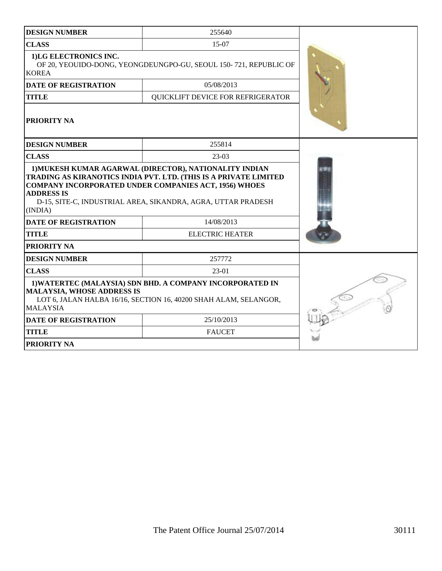| <b>DESIGN NUMBER</b>                                                                                                                                                                  | 255640                                                                                                                                                                                           |  |  |  |
|---------------------------------------------------------------------------------------------------------------------------------------------------------------------------------------|--------------------------------------------------------------------------------------------------------------------------------------------------------------------------------------------------|--|--|--|
| <b>CLASS</b>                                                                                                                                                                          | 15-07                                                                                                                                                                                            |  |  |  |
| 1)LG ELECTRONICS INC.<br><b>KOREA</b>                                                                                                                                                 | OF 20, YEOUIDO-DONG, YEONGDEUNGPO-GU, SEOUL 150-721, REPUBLIC OF                                                                                                                                 |  |  |  |
| <b>DATE OF REGISTRATION</b>                                                                                                                                                           | 05/08/2013                                                                                                                                                                                       |  |  |  |
| <b>TITLE</b>                                                                                                                                                                          | QUICKLIFT DEVICE FOR REFRIGERATOR                                                                                                                                                                |  |  |  |
| PRIORITY NA                                                                                                                                                                           |                                                                                                                                                                                                  |  |  |  |
| <b>DESIGN NUMBER</b>                                                                                                                                                                  | 255814                                                                                                                                                                                           |  |  |  |
| <b>CLASS</b>                                                                                                                                                                          | $23-03$                                                                                                                                                                                          |  |  |  |
| <b>ADDRESS IS</b><br>(INDIA)                                                                                                                                                          | TRADING AS KIRANOTICS INDIA PVT. LTD. (THIS IS A PRIVATE LIMITED<br><b>COMPANY INCORPORATED UNDER COMPANIES ACT, 1956) WHOES</b><br>D-15, SITE-C, INDUSTRIAL AREA, SIKANDRA, AGRA, UTTAR PRADESH |  |  |  |
| <b>DATE OF REGISTRATION</b>                                                                                                                                                           | 14/08/2013                                                                                                                                                                                       |  |  |  |
| <b>TITLE</b>                                                                                                                                                                          | <b>ELECTRIC HEATER</b>                                                                                                                                                                           |  |  |  |
| <b>PRIORITY NA</b>                                                                                                                                                                    |                                                                                                                                                                                                  |  |  |  |
| <b>DESIGN NUMBER</b>                                                                                                                                                                  | 257772                                                                                                                                                                                           |  |  |  |
| <b>CLASS</b>                                                                                                                                                                          | 23-01                                                                                                                                                                                            |  |  |  |
| 1) WATERTEC (MALAYSIA) SDN BHD. A COMPANY INCORPORATED IN<br><b>MALAYSIA, WHOSE ADDRESS IS</b><br>LOT 6, JALAN HALBA 16/16, SECTION 16, 40200 SHAH ALAM, SELANGOR,<br><b>MALAYSIA</b> |                                                                                                                                                                                                  |  |  |  |
| <b>DATE OF REGISTRATION</b>                                                                                                                                                           | 25/10/2013                                                                                                                                                                                       |  |  |  |
| <b>TITLE</b>                                                                                                                                                                          | <b>FAUCET</b>                                                                                                                                                                                    |  |  |  |
| PRIORITY NA                                                                                                                                                                           |                                                                                                                                                                                                  |  |  |  |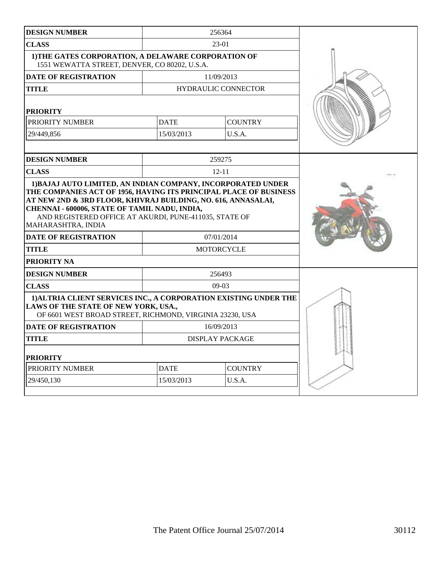| <b>DESIGN NUMBER</b>                                                                                                                                                                                                                          |                               | 256364                          |  |
|-----------------------------------------------------------------------------------------------------------------------------------------------------------------------------------------------------------------------------------------------|-------------------------------|---------------------------------|--|
| <b>CLASS</b>                                                                                                                                                                                                                                  |                               | 23-01                           |  |
| 1) THE GATES CORPORATION, A DELAWARE CORPORATION OF<br>1551 WEWATTA STREET, DENVER, CO 80202, U.S.A.                                                                                                                                          |                               |                                 |  |
| <b>DATE OF REGISTRATION</b>                                                                                                                                                                                                                   |                               | 11/09/2013                      |  |
| <b>TITLE</b>                                                                                                                                                                                                                                  |                               | <b>HYDRAULIC CONNECTOR</b>      |  |
| <b>PRIORITY</b>                                                                                                                                                                                                                               |                               |                                 |  |
| PRIORITY NUMBER                                                                                                                                                                                                                               | <b>DATE</b>                   | <b>COUNTRY</b>                  |  |
| 29/449,856                                                                                                                                                                                                                                    | 15/03/2013                    | U.S.A.                          |  |
| <b>DESIGN NUMBER</b>                                                                                                                                                                                                                          |                               | 259275                          |  |
| <b>CLASS</b>                                                                                                                                                                                                                                  |                               | $12 - 11$                       |  |
| AT NEW 2ND & 3RD FLOOR, KHIVRAJ BUILDING, NO. 616, ANNASALAI,<br>CHENNAI - 600006, STATE OF TAMIL NADU, INDIA,<br>AND REGISTERED OFFICE AT AKURDI, PUNE-411035, STATE OF<br>MAHARASHTRA, INDIA<br><b>DATE OF REGISTRATION</b><br><b>TITLE</b> |                               | 07/01/2014<br><b>MOTORCYCLE</b> |  |
| <b>PRIORITY NA</b>                                                                                                                                                                                                                            |                               |                                 |  |
| <b>DESIGN NUMBER</b>                                                                                                                                                                                                                          | 256493                        |                                 |  |
| <b>CLASS</b>                                                                                                                                                                                                                                  |                               | $09-03$                         |  |
| 1) ALTRIA CLIENT SERVICES INC., A CORPORATION EXISTING UNDER THE<br>LAWS OF THE STATE OF NEW YORK, USA.,<br>OF 6601 WEST BROAD STREET, RICHMOND, VIRGINIA 23230, USA                                                                          |                               |                                 |  |
| <b>DATE OF REGISTRATION</b>                                                                                                                                                                                                                   |                               | 16/09/2013                      |  |
| <b>TITLE</b>                                                                                                                                                                                                                                  | <b>DISPLAY PACKAGE</b>        |                                 |  |
| <b>PRIORITY</b>                                                                                                                                                                                                                               |                               |                                 |  |
| PRIORITY NUMBER                                                                                                                                                                                                                               | <b>DATE</b><br><b>COUNTRY</b> |                                 |  |
| 29/450,130                                                                                                                                                                                                                                    | U.S.A.<br>15/03/2013          |                                 |  |
|                                                                                                                                                                                                                                               |                               |                                 |  |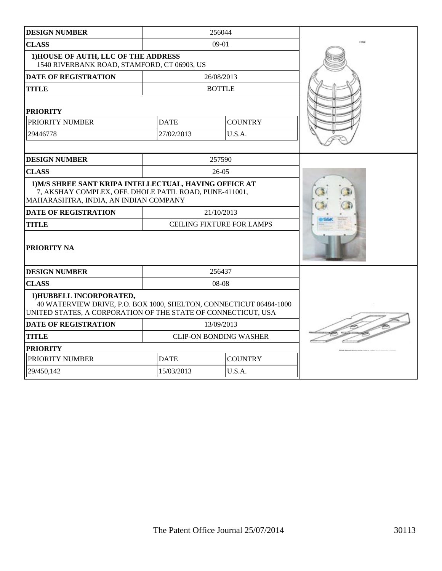| <b>DESIGN NUMBER</b>                                                                                                                                            |                               | 256044                           |         |
|-----------------------------------------------------------------------------------------------------------------------------------------------------------------|-------------------------------|----------------------------------|---------|
| <b>CLASS</b>                                                                                                                                                    |                               | 09-01                            | I (Aug. |
| 1) HOUSE OF AUTH, LLC OF THE ADDRESS<br>1540 RIVERBANK ROAD, STAMFORD, CT 06903, US                                                                             |                               |                                  |         |
| <b>DATE OF REGISTRATION</b>                                                                                                                                     |                               | 26/08/2013                       |         |
| <b>TITLE</b>                                                                                                                                                    |                               | <b>BOTTLE</b>                    |         |
| <b>PRIORITY</b>                                                                                                                                                 |                               |                                  |         |
| PRIORITY NUMBER                                                                                                                                                 | <b>DATE</b><br><b>COUNTRY</b> |                                  |         |
| 29446778                                                                                                                                                        | 27/02/2013                    | U.S.A.                           |         |
|                                                                                                                                                                 |                               |                                  |         |
| <b>DESIGN NUMBER</b>                                                                                                                                            |                               | 257590                           |         |
| <b>CLASS</b>                                                                                                                                                    |                               | $26-05$                          |         |
| 1) M/S SHREE SANT KRIPA INTELLECTUAL, HAVING OFFICE AT<br>7, AKSHAY COMPLEX, OFF. DHOLE PATIL ROAD, PUNE-411001,<br>MAHARASHTRA, INDIA, AN INDIAN COMPANY       |                               |                                  |         |
| <b>DATE OF REGISTRATION</b>                                                                                                                                     |                               | 21/10/2013                       |         |
| <b>TITLE</b>                                                                                                                                                    |                               | <b>CEILING FIXTURE FOR LAMPS</b> |         |
| PRIORITY NA                                                                                                                                                     |                               |                                  |         |
| <b>DESIGN NUMBER</b>                                                                                                                                            |                               | 256437                           |         |
| <b>CLASS</b>                                                                                                                                                    |                               | 08-08                            |         |
| 1) HUBBELL INCORPORATED,<br>40 WATERVIEW DRIVE, P.O. BOX 1000, SHELTON, CONNECTICUT 06484-1000<br>UNITED STATES, A CORPORATION OF THE STATE OF CONNECTICUT, USA |                               |                                  |         |
| <b>DATE OF REGISTRATION</b>                                                                                                                                     | 13/09/2013                    |                                  |         |
| <b>TITLE</b>                                                                                                                                                    | <b>CLIP-ON BONDING WASHER</b> |                                  |         |
| <b>PRIORITY</b>                                                                                                                                                 |                               |                                  |         |
| PRIORITY NUMBER                                                                                                                                                 | <b>COUNTRY</b><br><b>DATE</b> |                                  |         |
| 29/450,142                                                                                                                                                      | 15/03/2013<br>U.S.A.          |                                  |         |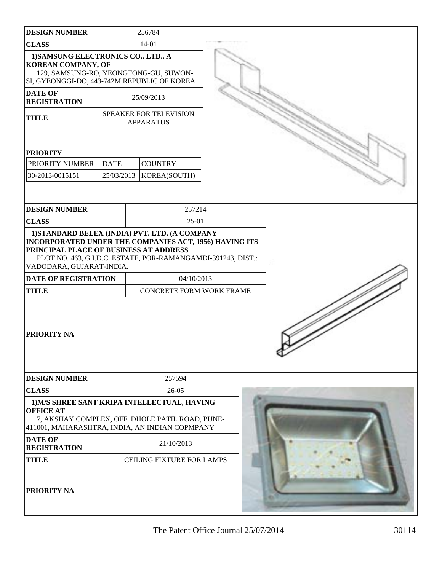| <b>DESIGN NUMBER</b>                                                                                                                                                  |             | 256784                                                                                                                                                                                                                    |  |  |
|-----------------------------------------------------------------------------------------------------------------------------------------------------------------------|-------------|---------------------------------------------------------------------------------------------------------------------------------------------------------------------------------------------------------------------------|--|--|
| <b>CLASS</b>                                                                                                                                                          |             | $14 - 01$                                                                                                                                                                                                                 |  |  |
| 1) SAMSUNG ELECTRONICS CO., LTD., A<br><b>KOREAN COMPANY, OF</b><br>SI, GYEONGGI-DO, 443-742M REPUBLIC OF KOREA                                                       |             | 129, SAMSUNG-RO, YEONGTONG-GU, SUWON-                                                                                                                                                                                     |  |  |
| <b>DATE OF</b><br><b>REGISTRATION</b>                                                                                                                                 |             | 25/09/2013                                                                                                                                                                                                                |  |  |
| <b>TITLE</b>                                                                                                                                                          |             | SPEAKER FOR TELEVISION<br><b>APPARATUS</b>                                                                                                                                                                                |  |  |
| <b>PRIORITY</b>                                                                                                                                                       |             |                                                                                                                                                                                                                           |  |  |
| PRIORITY NUMBER                                                                                                                                                       | <b>DATE</b> | <b>COUNTRY</b>                                                                                                                                                                                                            |  |  |
| 30-2013-0015151                                                                                                                                                       | 25/03/2013  | KOREA(SOUTH)                                                                                                                                                                                                              |  |  |
|                                                                                                                                                                       |             |                                                                                                                                                                                                                           |  |  |
| <b>DESIGN NUMBER</b><br><b>CLASS</b>                                                                                                                                  |             | 257214<br>$25-01$                                                                                                                                                                                                         |  |  |
| PRINCIPAL PLACE OF BUSINESS AT ADDRESS<br>VADODARA, GUJARAT-INDIA.<br><b>DATE OF REGISTRATION</b><br><b>TITLE</b><br>PRIORITY NA                                      |             | 1) STANDARD BELEX (INDIA) PVT. LTD. (A COMPANY<br>INCORPORATED UNDER THE COMPANIES ACT, 1956) HAVING ITS<br>PLOT NO. 463, G.I.D.C. ESTATE, POR-RAMANGAMDI-391243, DIST.:<br>04/10/2013<br><b>CONCRETE FORM WORK FRAME</b> |  |  |
| <b>DESIGN NUMBER</b>                                                                                                                                                  |             | 257594                                                                                                                                                                                                                    |  |  |
| <b>CLASS</b>                                                                                                                                                          |             | 26-05                                                                                                                                                                                                                     |  |  |
| 1) M/S SHREE SANT KRIPA INTELLECTUAL, HAVING<br><b>OFFICE AT</b><br>7, AKSHAY COMPLEX, OFF. DHOLE PATIL ROAD, PUNE-<br>411001, MAHARASHTRA, INDIA, AN INDIAN COPMPANY |             |                                                                                                                                                                                                                           |  |  |
| <b>DATE OF</b><br><b>REGISTRATION</b>                                                                                                                                 |             | 21/10/2013                                                                                                                                                                                                                |  |  |
| <b>TITLE</b>                                                                                                                                                          |             | CEILING FIXTURE FOR LAMPS                                                                                                                                                                                                 |  |  |
| PRIORITY NA                                                                                                                                                           |             |                                                                                                                                                                                                                           |  |  |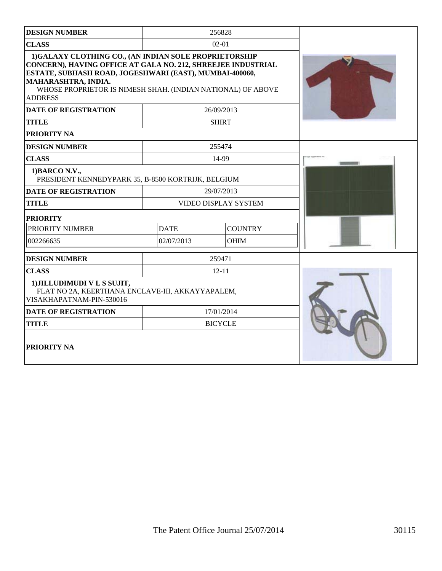| <b>DESIGN NUMBER</b>                                                                                                                                                                                                                                                                     |                               | 256828         |  |
|------------------------------------------------------------------------------------------------------------------------------------------------------------------------------------------------------------------------------------------------------------------------------------------|-------------------------------|----------------|--|
| <b>CLASS</b>                                                                                                                                                                                                                                                                             |                               | $02-01$        |  |
| 1)GALAXY CLOTHING CO., (AN INDIAN SOLE PROPRIETORSHIP<br>CONCERN), HAVING OFFICE AT GALA NO. 212, SHREEJEE INDUSTRIAL<br>ESTATE, SUBHASH ROAD, JOGESHWARI (EAST), MUMBAI-400060,<br>MAHARASHTRA, INDIA.<br>WHOSE PROPRIETOR IS NIMESH SHAH. (INDIAN NATIONAL) OF ABOVE<br><b>ADDRESS</b> |                               |                |  |
| <b>DATE OF REGISTRATION</b>                                                                                                                                                                                                                                                              |                               | 26/09/2013     |  |
| <b>TITLE</b>                                                                                                                                                                                                                                                                             |                               | <b>SHIRT</b>   |  |
| PRIORITY NA                                                                                                                                                                                                                                                                              |                               |                |  |
| <b>DESIGN NUMBER</b>                                                                                                                                                                                                                                                                     |                               | 255474         |  |
| <b>CLASS</b>                                                                                                                                                                                                                                                                             |                               | 14-99          |  |
| 1) BARCO N.V.,<br>PRESIDENT KENNEDYPARK 35, B-8500 KORTRIJK, BELGIUM                                                                                                                                                                                                                     |                               |                |  |
| <b>DATE OF REGISTRATION</b>                                                                                                                                                                                                                                                              |                               | 29/07/2013     |  |
| <b>TITLE</b>                                                                                                                                                                                                                                                                             | <b>VIDEO DISPLAY SYSTEM</b>   |                |  |
| <b>PRIORITY</b>                                                                                                                                                                                                                                                                          |                               |                |  |
| PRIORITY NUMBER                                                                                                                                                                                                                                                                          | <b>DATE</b><br><b>COUNTRY</b> |                |  |
| 002266635                                                                                                                                                                                                                                                                                | 02/07/2013                    | <b>OHIM</b>    |  |
| <b>DESIGN NUMBER</b>                                                                                                                                                                                                                                                                     |                               |                |  |
| <b>CLASS</b>                                                                                                                                                                                                                                                                             |                               | $12 - 11$      |  |
| 1) JILLUDIMUDI V L S SUJIT,<br>FLAT NO 2A, KEERTHANA ENCLAVE-III, AKKAYYAPALEM,<br>VISAKHAPATNAM-PIN-530016                                                                                                                                                                              |                               |                |  |
| <b>DATE OF REGISTRATION</b>                                                                                                                                                                                                                                                              |                               | 17/01/2014     |  |
| <b>TITLE</b>                                                                                                                                                                                                                                                                             |                               | <b>BICYCLE</b> |  |
| PRIORITY NA                                                                                                                                                                                                                                                                              |                               |                |  |